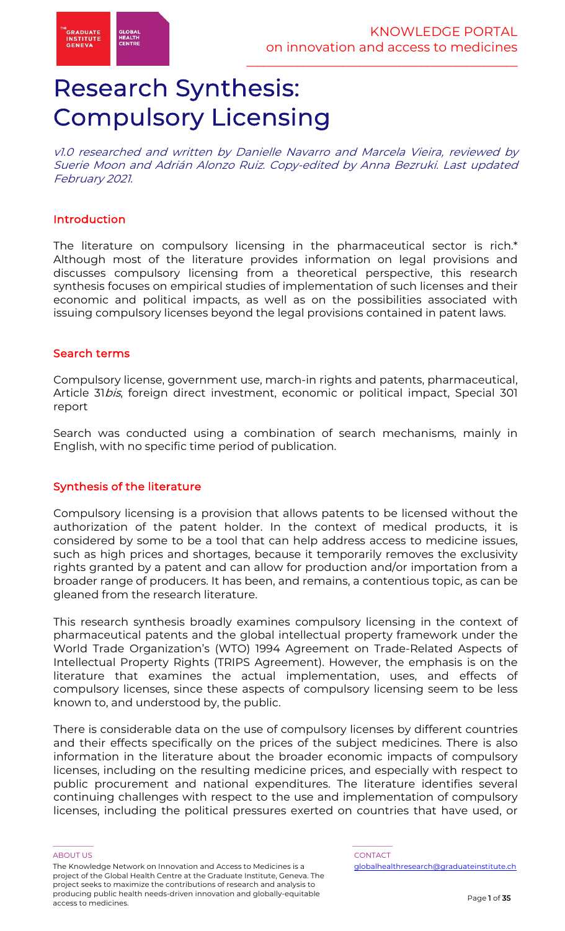# Research Synthesis: Compulsory Licensing

v1.0 researched and written by Danielle Navarro and Marcela Vieira, reviewed by Suerie Moon and Adrián Alonzo Ruiz. Copy-edited by Anna Bezruki. Last updated February 2021.

### Introduction

The literature on compulsory licensing in the pharmaceutical sector is rich.\* Although most of the literature provides information on legal provisions and discusses compulsory licensing from a theoretical perspective, this research synthesis focuses on empirical studies of implementation of such licenses and their economic and political impacts, as well as on the possibilities associated with issuing compulsory licenses beyond the legal provisions contained in patent laws.

#### Search terms

Compulsory license, government use, march-in rights and patents, pharmaceutical, Article 31bis, foreign direct investment, economic or political impact, Special 301 report

Search was conducted using a combination of search mechanisms, mainly in English, with no specific time period of publication.

#### Synthesis of the literature

Compulsory licensing is a provision that allows patents to be licensed without the authorization of the patent holder. In the context of medical products, it is considered by some to be a tool that can help address access to medicine issues, such as high prices and shortages, because it temporarily removes the exclusivity rights granted by a patent and can allow for production and/or importation from a broader range of producers. It has been, and remains, a contentious topic, as can be gleaned from the research literature.

This research synthesis broadly examines compulsory licensing in the context of pharmaceutical patents and the global intellectual property framework under the World Trade Organization's (WTO) 1994 Agreement on Trade-Related Aspects of Intellectual Property Rights (TRIPS Agreement). However, the emphasis is on the literature that examines the actual implementation, uses, and effects of compulsory licenses, since these aspects of compulsory licensing seem to be less known to, and understood by, the public.

There is considerable data on the use of compulsory licenses by different countries and their effects specifically on the prices of the subject medicines. There is also information in the literature about the broader economic impacts of compulsory licenses, including on the resulting medicine prices, and especially with respect to public procurement and national expenditures. The literature identifies several continuing challenges with respect to the use and implementation of compulsory licenses, including the political pressures exerted on countries that have used, or

The Knowledge Network on Innovation and Access to Medicines is a project of the Global Health Centre at the Graduate Institute, Geneva. The project seeks to maximize the contributions of research and analysis to producing public health needs-driven innovation and globally-equitable access to medicines.

\_\_\_\_\_\_\_\_\_\_\_ \_\_\_\_\_\_\_\_\_\_\_

ABOUT US AND LOCAL CONTACT AND LOCAL CONTACT AND LOCAL CONTACT AND LOCAL CONTACT. globalhealthresearch@graduateinstitute.ch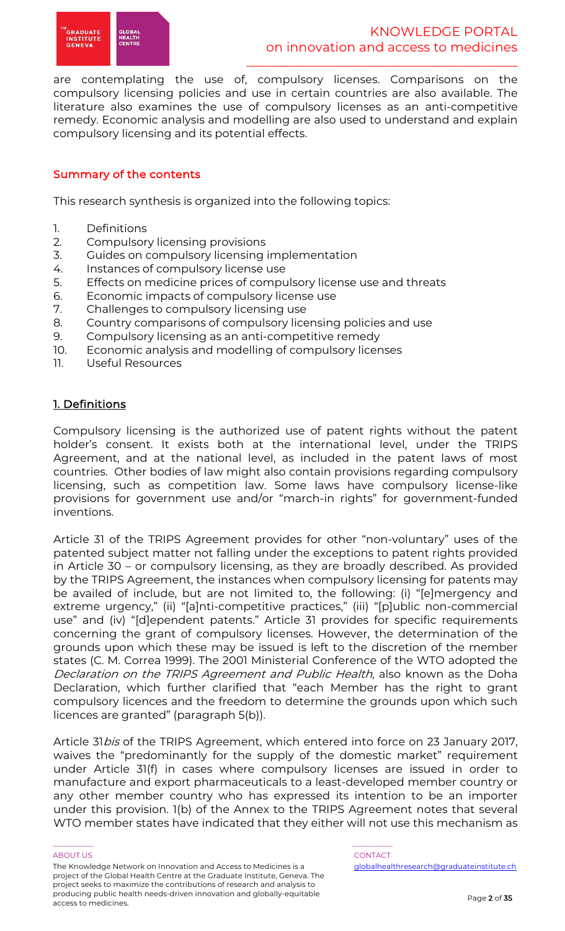

are contemplating the use of, compulsory licenses. Comparisons on the compulsory licensing policies and use in certain countries are also available. The literature also examines the use of compulsory licenses as an anti-competitive remedy. Economic analysis and modelling are also used to understand and explain compulsory licensing and its potential effects.

# Summary of the contents

This research synthesis is organized into the following topics:

- 1. Definitions
- 2. Compulsory licensing provisions
- 3. Guides on compulsory licensing implementation
- 4. Instances of compulsory license use
- 5. Effects on medicine prices of compulsory license use and threats
- 6. Economic impacts of compulsory license use
- 7. Challenges to compulsory licensing use
- 8. Country comparisons of compulsory licensing policies and use
- 9. Compulsory licensing as an anti-competitive remedy
- 10. Economic analysis and modelling of compulsory licenses
- 11. Useful Resources

# 1. Definitions

Compulsory licensing is the authorized use of patent rights without the patent holder's consent. It exists both at the international level, under the TRIPS Agreement, and at the national level, as included in the patent laws of most countries. Other bodies of law might also contain provisions regarding compulsory licensing, such as competition law. Some laws have compulsory license-like provisions for government use and/or "march-in rights" for government-funded inventions.

Article 31 of the TRIPS Agreement provides for other "non-voluntary" uses of the patented subject matter not falling under the exceptions to patent rights provided in Article 30 – or compulsory licensing, as they are broadly described. As provided by the TRIPS Agreement, the instances when compulsory licensing for patents may be availed of include, but are not limited to, the following: (i) "[e]mergency and extreme urgency," (ii) "[a]nti-competitive practices," (iii) "[p]ublic non-commercial use" and (iv) "[d]ependent patents." Article 31 provides for specific requirements concerning the grant of compulsory licenses. However, the determination of the grounds upon which these may be issued is left to the discretion of the member states (C. M. Correa 1999). The 2001 Ministerial Conference of the WTO adopted the Declaration on the TRIPS Agreement and Public Health, also known as the Doha Declaration, which further clarified that "each Member has the right to grant compulsory licences and the freedom to determine the grounds upon which such licences are granted" (paragraph 5(b)).

Article 31bis of the TRIPS Agreement, which entered into force on 23 January 2017, waives the "predominantly for the supply of the domestic market" requirement under Article 31(f) in cases where compulsory licenses are issued in order to manufacture and export pharmaceuticals to a least-developed member country or any other member country who has expressed its intention to be an importer under this provision. 1(b) of the Annex to the TRIPS Agreement notes that several WTO member states have indicated that they either will not use this mechanism as

The Knowledge Network on Innovation and Access to Medicines is a project of the Global Health Centre at the Graduate Institute, Geneva. The project seeks to maximize the contributions of research and analysis to producing public health needs-driven innovation and globally-equitable access to medicines.

#### \_\_\_\_\_\_\_\_\_\_\_ \_\_\_\_\_\_\_\_\_\_\_ ABOUT US AND LOCAL CONTACT AND LOCAL CONTACT AND LOCAL CONTACT AND LOCAL CONTACT.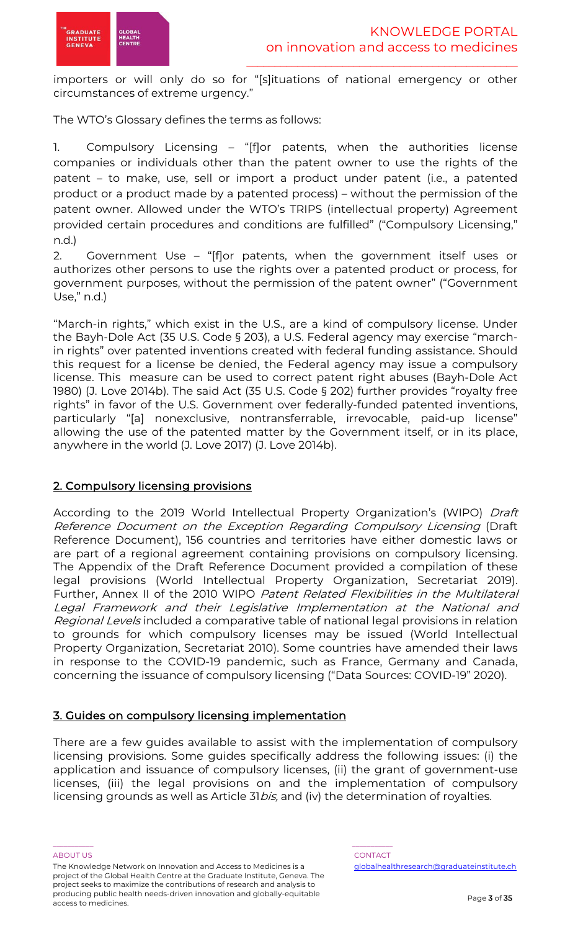importers or will only do so for "[s]ituations of national emergency or other circumstances of extreme urgency."

The WTO's Glossary defines the terms as follows:

1. Compulsory Licensing – "[f]or patents, when the authorities license companies or individuals other than the patent owner to use the rights of the patent – to make, use, sell or import a product under patent (i.e., a patented product or a product made by a patented process) – without the permission of the patent owner. Allowed under the WTO's TRIPS (intellectual property) Agreement provided certain procedures and conditions are fulfilled" ("Compulsory Licensing," n.d.)

2. Government Use – "[f]or patents, when the government itself uses or authorizes other persons to use the rights over a patented product or process, for government purposes, without the permission of the patent owner" ("Government Use," n.d.)

"March-in rights," which exist in the U.S., are a kind of compulsory license. Under the Bayh-Dole Act (35 U.S. Code § 203), a U.S. Federal agency may exercise "marchin rights" over patented inventions created with federal funding assistance. Should this request for a license be denied, the Federal agency may issue a compulsory license. This measure can be used to correct patent right abuses (Bayh-Dole Act 1980) (J. Love 2014b). The said Act (35 U.S. Code § 202) further provides "royalty free rights" in favor of the U.S. Government over federally-funded patented inventions, particularly "[a] nonexclusive, nontransferrable, irrevocable, paid-up license" allowing the use of the patented matter by the Government itself, or in its place, anywhere in the world (J. Love 2017) (J. Love 2014b).

# 2. Compulsory licensing provisions

According to the 2019 World Intellectual Property Organization's (WIPO) Draft Reference Document on the Exception Regarding Compulsory Licensing (Draft Reference Document), 156 countries and territories have either domestic laws or are part of a regional agreement containing provisions on compulsory licensing. The Appendix of the Draft Reference Document provided a compilation of these legal provisions (World Intellectual Property Organization, Secretariat 2019). Further, Annex II of the 2010 WIPO Patent Related Flexibilities in the Multilateral Legal Framework and their Legislative Implementation at the National and Regional Levels included a comparative table of national legal provisions in relation to grounds for which compulsory licenses may be issued (World Intellectual Property Organization, Secretariat 2010). Some countries have amended their laws in response to the COVID-19 pandemic, such as France, Germany and Canada, concerning the issuance of compulsory licensing ("Data Sources: COVID-19" 2020).

# 3. Guides on compulsory licensing implementation

There are a few guides available to assist with the implementation of compulsory licensing provisions. Some guides specifically address the following issues: (i) the application and issuance of compulsory licenses, (ii) the grant of government-use licenses, (iii) the legal provisions on and the implementation of compulsory licensing grounds as well as Article 31*bis*, and (iv) the determination of royalties.

\_\_\_\_\_\_\_\_\_\_\_ \_\_\_\_\_\_\_\_\_\_\_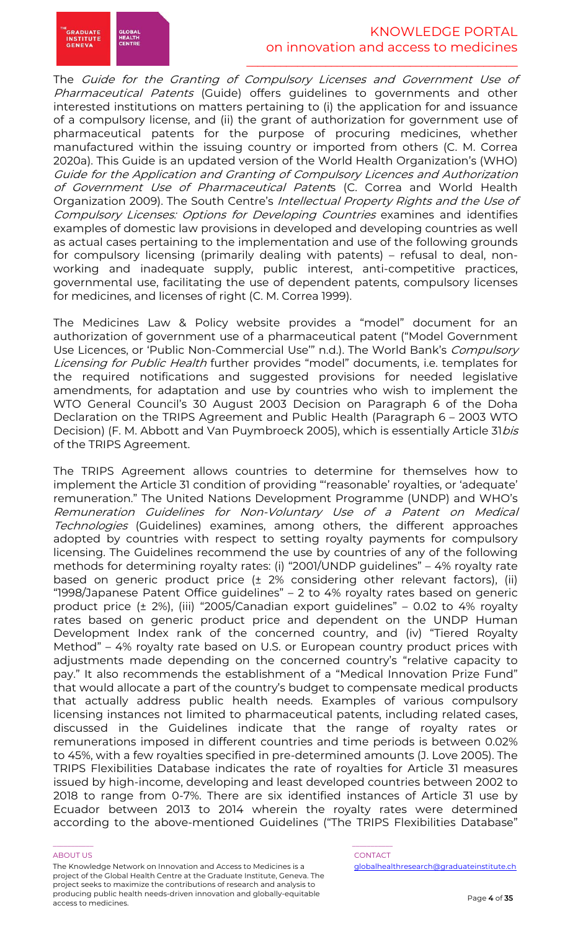

# KNOWLEDGE PORTAL on innovation and access to medicines

 $\frac{1}{2}$  ,  $\frac{1}{2}$  ,  $\frac{1}{2}$  ,  $\frac{1}{2}$  ,  $\frac{1}{2}$  ,  $\frac{1}{2}$  ,  $\frac{1}{2}$  ,  $\frac{1}{2}$  ,  $\frac{1}{2}$  ,  $\frac{1}{2}$  ,  $\frac{1}{2}$  ,  $\frac{1}{2}$  ,  $\frac{1}{2}$  ,  $\frac{1}{2}$  ,  $\frac{1}{2}$  ,  $\frac{1}{2}$  ,  $\frac{1}{2}$  ,  $\frac{1}{2}$  ,  $\frac{1$ 

The Guide for the Granting of Compulsory Licenses and Government Use of Pharmaceutical Patents (Guide) offers guidelines to governments and other interested institutions on matters pertaining to (i) the application for and issuance of a compulsory license, and (ii) the grant of authorization for government use of pharmaceutical patents for the purpose of procuring medicines, whether manufactured within the issuing country or imported from others (C. M. Correa 2020a). This Guide is an updated version of the World Health Organization's (WHO) Guide for the Application and Granting of Compulsory Licences and Authorization of Government Use of Pharmaceutical Patents (C. Correa and World Health Organization 2009). The South Centre's Intellectual Property Rights and the Use of Compulsory Licenses: Options for Developing Countries examines and identifies examples of domestic law provisions in developed and developing countries as well as actual cases pertaining to the implementation and use of the following grounds for compulsory licensing (primarily dealing with patents) – refusal to deal, nonworking and inadequate supply, public interest, anti-competitive practices, governmental use, facilitating the use of dependent patents, compulsory licenses for medicines, and licenses of right (C. M. Correa 1999).

The Medicines Law & Policy website provides a "model" document for an authorization of government use of a pharmaceutical patent ("Model Government Use Licences, or 'Public Non-Commercial Use'" n.d.). The World Bank's Compulsory Licensing for Public Health further provides "model" documents, i.e. templates for the required notifications and suggested provisions for needed legislative amendments, for adaptation and use by countries who wish to implement the WTO General Council's 30 August 2003 Decision on Paragraph 6 of the Doha Declaration on the TRIPS Agreement and Public Health (Paragraph 6 – 2003 WTO Decision) (F. M. Abbott and Van Puymbroeck 2005), which is essentially Article 31bis of the TRIPS Agreement.

The TRIPS Agreement allows countries to determine for themselves how to implement the Article 31 condition of providing "'reasonable' royalties, or 'adequate' remuneration." The United Nations Development Programme (UNDP) and WHO's Remuneration Guidelines for Non-Voluntary Use of a Patent on Medical Technologies (Guidelines) examines, among others, the different approaches adopted by countries with respect to setting royalty payments for compulsory licensing. The Guidelines recommend the use by countries of any of the following methods for determining royalty rates: (i) "2001/UNDP guidelines" – 4% royalty rate based on generic product price (± 2% considering other relevant factors), (ii) "1998/Japanese Patent Office guidelines" – 2 to 4% royalty rates based on generic product price (± 2%), (iii) "2005/Canadian export guidelines" – 0.02 to 4% royalty rates based on generic product price and dependent on the UNDP Human Development Index rank of the concerned country, and (iv) "Tiered Royalty Method" – 4% royalty rate based on U.S. or European country product prices with adjustments made depending on the concerned country's "relative capacity to pay." It also recommends the establishment of a "Medical Innovation Prize Fund" that would allocate a part of the country's budget to compensate medical products that actually address public health needs. Examples of various compulsory licensing instances not limited to pharmaceutical patents, including related cases, discussed in the Guidelines indicate that the range of royalty rates or remunerations imposed in different countries and time periods is between 0.02% to 45%, with a few royalties specified in pre-determined amounts (J. Love 2005). The TRIPS Flexibilities Database indicates the rate of royalties for Article 31 measures issued by high-income, developing and least developed countries between 2002 to 2018 to range from 0-7%. There are six identified instances of Article 31 use by Ecuador between 2013 to 2014 wherein the royalty rates were determined according to the above-mentioned Guidelines ("The TRIPS Flexibilities Database"

#### ABOUT US AND LOCAL CONTACT AND LOCAL CONTACT AND LOCAL CONTACT AND LOCAL CONTACT.

The Knowledge Network on Innovation and Access to Medicines is a project of the Global Health Centre at the Graduate Institute, Geneva. The project seeks to maximize the contributions of research and analysis to producing public health needs-driven innovation and globally-equitable access to medicines.

\_\_\_\_\_\_\_\_\_\_\_ \_\_\_\_\_\_\_\_\_\_\_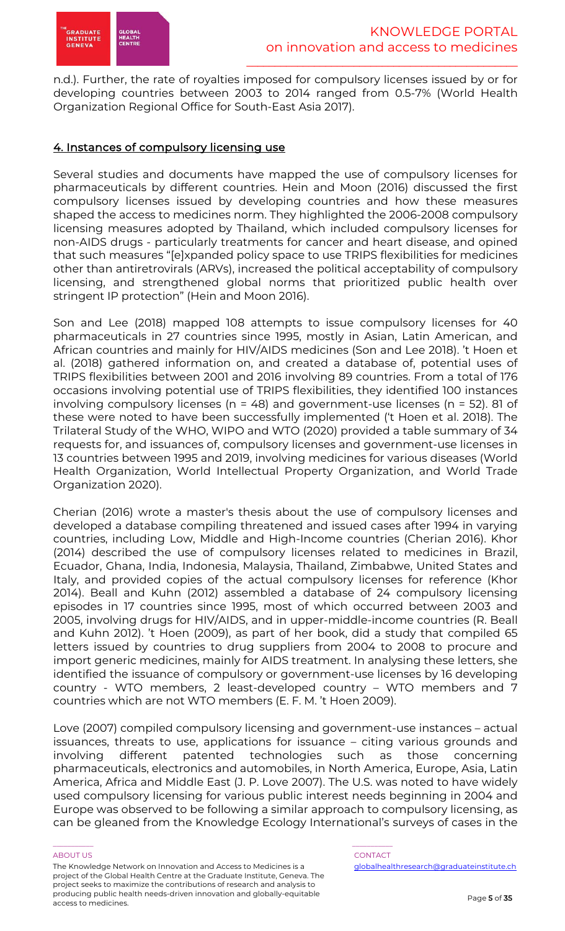

n.d.). Further, the rate of royalties imposed for compulsory licenses issued by or for developing countries between 2003 to 2014 ranged from 0.5-7% (World Health Organization Regional Office for South-East Asia 2017).

# 4. Instances of compulsory licensing use

Several studies and documents have mapped the use of compulsory licenses for pharmaceuticals by different countries. Hein and Moon (2016) discussed the first compulsory licenses issued by developing countries and how these measures shaped the access to medicines norm. They highlighted the 2006-2008 compulsory licensing measures adopted by Thailand, which included compulsory licenses for non-AIDS drugs - particularly treatments for cancer and heart disease, and opined that such measures "[e]xpanded policy space to use TRIPS flexibilities for medicines other than antiretrovirals (ARVs), increased the political acceptability of compulsory licensing, and strengthened global norms that prioritized public health over stringent IP protection" (Hein and Moon 2016).

Son and Lee (2018) mapped 108 attempts to issue compulsory licenses for 40 pharmaceuticals in 27 countries since 1995, mostly in Asian, Latin American, and African countries and mainly for HIV/AIDS medicines (Son and Lee 2018). 't Hoen et al. (2018) gathered information on, and created a database of, potential uses of TRIPS flexibilities between 2001 and 2016 involving 89 countries. From a total of 176 occasions involving potential use of TRIPS flexibilities, they identified 100 instances involving compulsory licenses (n = 48) and government-use licenses (n = 52). 81 of these were noted to have been successfully implemented ('t Hoen et al. 2018). The Trilateral Study of the WHO, WIPO and WTO (2020) provided a table summary of 34 requests for, and issuances of, compulsory licenses and government-use licenses in 13 countries between 1995 and 2019, involving medicines for various diseases (World Health Organization, World Intellectual Property Organization, and World Trade Organization 2020).

Cherian (2016) wrote a master's thesis about the use of compulsory licenses and developed a database compiling threatened and issued cases after 1994 in varying countries, including Low, Middle and High-Income countries (Cherian 2016). Khor (2014) described the use of compulsory licenses related to medicines in Brazil, Ecuador, Ghana, India, Indonesia, Malaysia, Thailand, Zimbabwe, United States and Italy, and provided copies of the actual compulsory licenses for reference (Khor 2014). Beall and Kuhn (2012) assembled a database of 24 compulsory licensing episodes in 17 countries since 1995, most of which occurred between 2003 and 2005, involving drugs for HIV/AIDS, and in upper-middle-income countries (R. Beall and Kuhn 2012). 't Hoen (2009), as part of her book, did a study that compiled 65 letters issued by countries to drug suppliers from 2004 to 2008 to procure and import generic medicines, mainly for AIDS treatment. In analysing these letters, she identified the issuance of compulsory or government-use licenses by 16 developing country - WTO members, 2 least-developed country – WTO members and 7 countries which are not WTO members (E. F. M. 't Hoen 2009).

Love (2007) compiled compulsory licensing and government-use instances – actual issuances, threats to use, applications for issuance – citing various grounds and involving different patented technologies such as those concerning pharmaceuticals, electronics and automobiles, in North America, Europe, Asia, Latin America, Africa and Middle East (J. P. Love 2007). The U.S. was noted to have widely used compulsory licensing for various public interest needs beginning in 2004 and Europe was observed to be following a similar approach to compulsory licensing, as can be gleaned from the Knowledge Ecology International's surveys of cases in the

#### ABOUT US AND LOCAL CONTACT AND LOCAL CONTACT AND LOCAL CONTACT AND LOCAL CONTACT.

The Knowledge Network on Innovation and Access to Medicines is a project of the Global Health Centre at the Graduate Institute, Geneva. The project seeks to maximize the contributions of research and analysis to producing public health needs-driven innovation and globally-equitable access to medicines.

\_\_\_\_\_\_\_\_\_\_\_ \_\_\_\_\_\_\_\_\_\_\_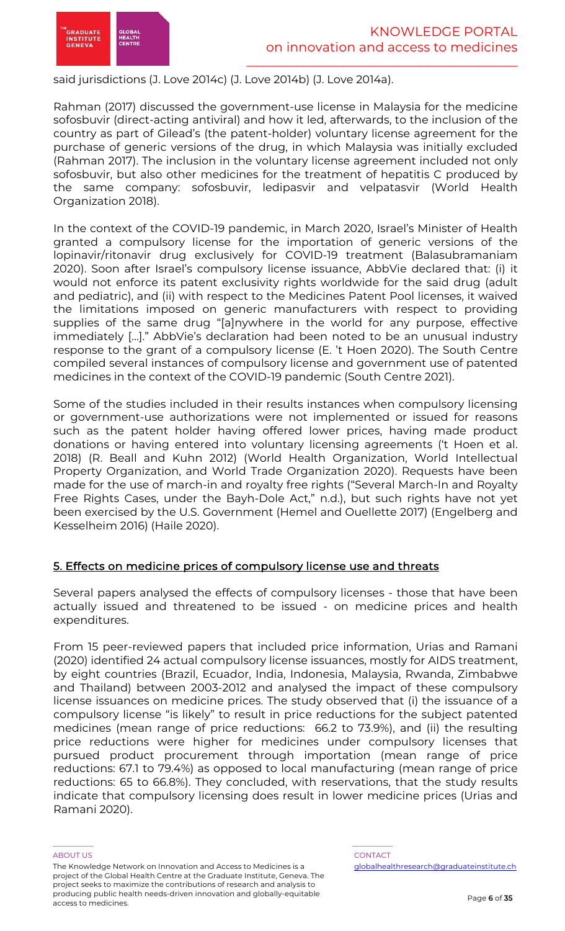

said jurisdictions (J. Love 2014c) (J. Love 2014b) (J. Love 2014a).

Rahman (2017) discussed the government-use license in Malaysia for the medicine sofosbuvir (direct-acting antiviral) and how it led, afterwards, to the inclusion of the country as part of Gilead's (the patent-holder) voluntary license agreement for the purchase of generic versions of the drug, in which Malaysia was initially excluded (Rahman 2017). The inclusion in the voluntary license agreement included not only sofosbuvir, but also other medicines for the treatment of hepatitis C produced by the same company: sofosbuvir, ledipasvir and velpatasvir (World Health Organization 2018).

In the context of the COVID-19 pandemic, in March 2020, Israel's Minister of Health granted a compulsory license for the importation of generic versions of the lopinavir/ritonavir drug exclusively for COVID-19 treatment (Balasubramaniam 2020). Soon after Israel's compulsory license issuance, AbbVie declared that: (i) it would not enforce its patent exclusivity rights worldwide for the said drug (adult and pediatric), and (ii) with respect to the Medicines Patent Pool licenses, it waived the limitations imposed on generic manufacturers with respect to providing supplies of the same drug "[a]nywhere in the world for any purpose, effective immediately […]." AbbVie's declaration had been noted to be an unusual industry response to the grant of a compulsory license (E. 't Hoen 2020). The South Centre compiled several instances of compulsory license and government use of patented medicines in the context of the COVID-19 pandemic (South Centre 2021).

Some of the studies included in their results instances when compulsory licensing or government-use authorizations were not implemented or issued for reasons such as the patent holder having offered lower prices, having made product donations or having entered into voluntary licensing agreements ('t Hoen et al. 2018) (R. Beall and Kuhn 2012) (World Health Organization, World Intellectual Property Organization, and World Trade Organization 2020). Requests have been made for the use of march-in and royalty free rights ("Several March-In and Royalty Free Rights Cases, under the Bayh-Dole Act," n.d.), but such rights have not yet been exercised by the U.S. Government (Hemel and Ouellette 2017) (Engelberg and Kesselheim 2016) (Haile 2020).

# 5. Effects on medicine prices of compulsory license use and threats

Several papers analysed the effects of compulsory licenses - those that have been actually issued and threatened to be issued - on medicine prices and health expenditures.

From 15 peer-reviewed papers that included price information, Urias and Ramani (2020) identified 24 actual compulsory license issuances, mostly for AIDS treatment, by eight countries (Brazil, Ecuador, India, Indonesia, Malaysia, Rwanda, Zimbabwe and Thailand) between 2003-2012 and analysed the impact of these compulsory license issuances on medicine prices. The study observed that (i) the issuance of a compulsory license "is likely" to result in price reductions for the subject patented medicines (mean range of price reductions: 66.2 to 73.9%), and (ii) the resulting price reductions were higher for medicines under compulsory licenses that pursued product procurement through importation (mean range of price reductions: 67.1 to 79.4%) as opposed to local manufacturing (mean range of price reductions: 65 to 66.8%). They concluded, with reservations, that the study results indicate that compulsory licensing does result in lower medicine prices (Urias and Ramani 2020).

The Knowledge Network on Innovation and Access to Medicines is a project of the Global Health Centre at the Graduate Institute, Geneva. The project seeks to maximize the contributions of research and analysis to producing public health needs-driven innovation and globally-equitable access to medicines.

\_\_\_\_\_\_\_\_\_\_\_ \_\_\_\_\_\_\_\_\_\_\_

ABOUT US AND LOCAL CONTACT AND LOCAL CONTACT AND LOCAL CONTACT AND LOCAL CONTACT. globalhealthresearch@graduateinstitute.ch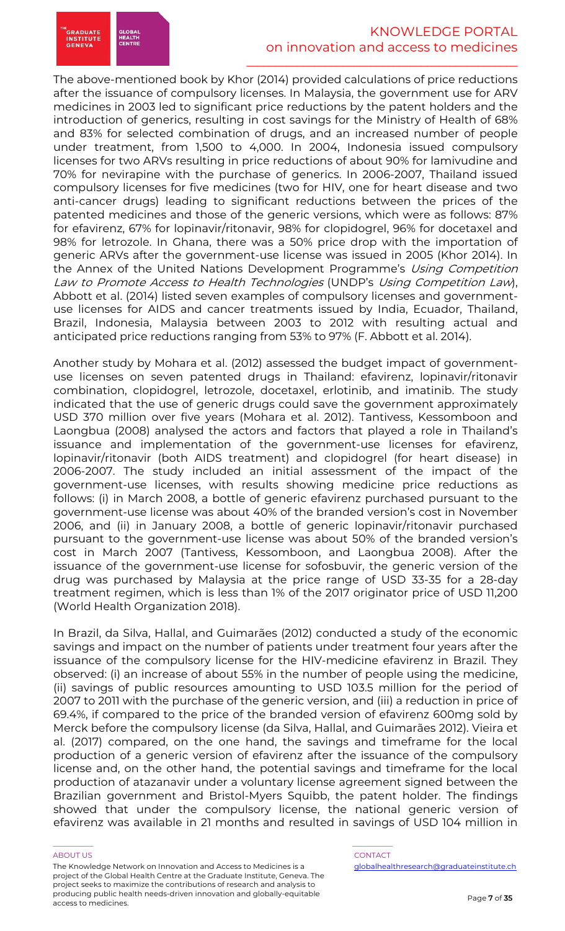

The above-mentioned book by Khor (2014) provided calculations of price reductions after the issuance of compulsory licenses. In Malaysia, the government use for ARV medicines in 2003 led to significant price reductions by the patent holders and the introduction of generics, resulting in cost savings for the Ministry of Health of 68% and 83% for selected combination of drugs, and an increased number of people under treatment, from 1,500 to 4,000. In 2004, Indonesia issued compulsory licenses for two ARVs resulting in price reductions of about 90% for lamivudine and 70% for nevirapine with the purchase of generics. In 2006-2007, Thailand issued compulsory licenses for five medicines (two for HIV, one for heart disease and two anti-cancer drugs) leading to significant reductions between the prices of the patented medicines and those of the generic versions, which were as follows: 87% for efavirenz, 67% for lopinavir/ritonavir, 98% for clopidogrel, 96% for docetaxel and 98% for letrozole. In Ghana, there was a 50% price drop with the importation of generic ARVs after the government-use license was issued in 2005 (Khor 2014). In the Annex of the United Nations Development Programme's Using Competition Law to Promote Access to Health Technologies (UNDP's Using Competition Law), Abbott et al. (2014) listed seven examples of compulsory licenses and governmentuse licenses for AIDS and cancer treatments issued by India, Ecuador, Thailand, Brazil, Indonesia, Malaysia between 2003 to 2012 with resulting actual and anticipated price reductions ranging from 53% to 97% (F. Abbott et al. 2014).

Another study by Mohara et al. (2012) assessed the budget impact of governmentuse licenses on seven patented drugs in Thailand: efavirenz, lopinavir/ritonavir combination, clopidogrel, letrozole, docetaxel, erlotinib, and imatinib. The study indicated that the use of generic drugs could save the government approximately USD 370 million over five years (Mohara et al. 2012). Tantivess, Kessomboon and Laongbua (2008) analysed the actors and factors that played a role in Thailand's issuance and implementation of the government-use licenses for efavirenz, lopinavir/ritonavir (both AIDS treatment) and clopidogrel (for heart disease) in 2006-2007. The study included an initial assessment of the impact of the government-use licenses, with results showing medicine price reductions as follows: (i) in March 2008, a bottle of generic efavirenz purchased pursuant to the government-use license was about 40% of the branded version's cost in November 2006, and (ii) in January 2008, a bottle of generic lopinavir/ritonavir purchased pursuant to the government-use license was about 50% of the branded version's cost in March 2007 (Tantivess, Kessomboon, and Laongbua 2008). After the issuance of the government-use license for sofosbuvir, the generic version of the drug was purchased by Malaysia at the price range of USD 33-35 for a 28-day treatment regimen, which is less than 1% of the 2017 originator price of USD 11,200 (World Health Organization 2018).

In Brazil, da Silva, Hallal, and Guimarães (2012) conducted a study of the economic savings and impact on the number of patients under treatment four years after the issuance of the compulsory license for the HIV-medicine efavirenz in Brazil. They observed: (i) an increase of about 55% in the number of people using the medicine, (ii) savings of public resources amounting to USD 103.5 million for the period of 2007 to 2011 with the purchase of the generic version, and (iii) a reduction in price of 69.4%, if compared to the price of the branded version of efavirenz 600mg sold by Merck before the compulsory license (da Silva, Hallal, and Guimarães 2012). Vieira et al. (2017) compared, on the one hand, the savings and timeframe for the local production of a generic version of efavirenz after the issuance of the compulsory license and, on the other hand, the potential savings and timeframe for the local production of atazanavir under a voluntary license agreement signed between the Brazilian government and Bristol-Myers Squibb, the patent holder. The findings showed that under the compulsory license, the national generic version of efavirenz was available in 21 months and resulted in savings of USD 104 million in

#### ABOUT US AND LOCAL CONTACT AND LOCAL CONTACT AND LOCAL CONTACT AND LOCAL CONTACT.

The Knowledge Network on Innovation and Access to Medicines is a project of the Global Health Centre at the Graduate Institute, Geneva. The project seeks to maximize the contributions of research and analysis to producing public health needs-driven innovation and globally-equitable access to medicines.

\_\_\_\_\_\_\_\_\_\_\_ \_\_\_\_\_\_\_\_\_\_\_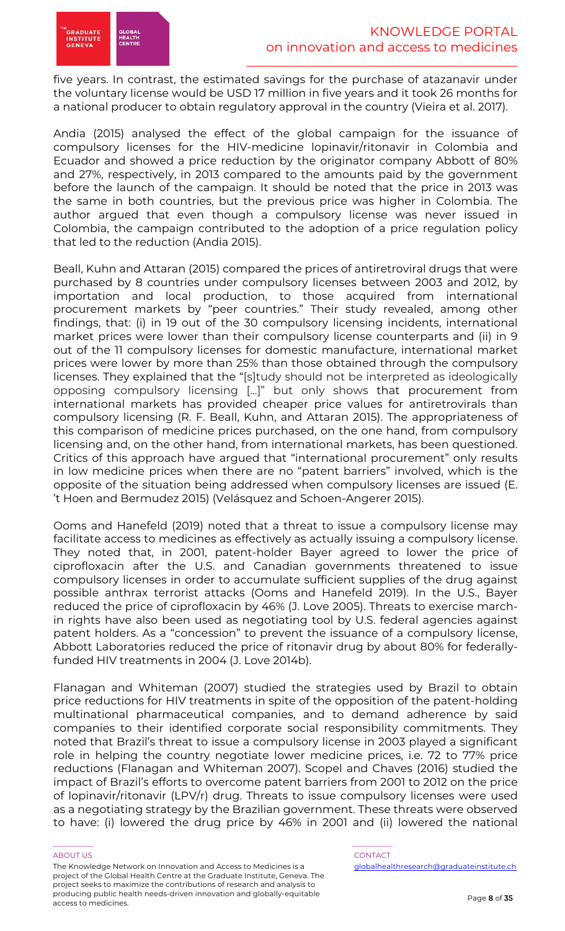five years. In contrast, the estimated savings for the purchase of atazanavir under the voluntary license would be USD 17 million in five years and it took 26 months for a national producer to obtain regulatory approval in the country (Vieira et al. 2017).

Andia (2015) analysed the effect of the global campaign for the issuance of compulsory licenses for the HIV-medicine lopinavir/ritonavir in Colombia and Ecuador and showed a price reduction by the originator company Abbott of 80% and 27%, respectively, in 2013 compared to the amounts paid by the government before the launch of the campaign. It should be noted that the price in 2013 was the same in both countries, but the previous price was higher in Colombia. The author argued that even though a compulsory license was never issued in Colombia, the campaign contributed to the adoption of a price regulation policy that led to the reduction (Andia 2015).

Beall, Kuhn and Attaran (2015) compared the prices of antiretroviral drugs that were purchased by 8 countries under compulsory licenses between 2003 and 2012, by importation and local production, to those acquired from international procurement markets by "peer countries." Their study revealed, among other findings, that: (i) in 19 out of the 30 compulsory licensing incidents, international market prices were lower than their compulsory license counterparts and (ii) in 9 out of the 11 compulsory licenses for domestic manufacture, international market prices were lower by more than 25% than those obtained through the compulsory licenses. They explained that the "[s]tudy should not be interpreted as ideologically opposing compulsory licensing [...]" but only shows that procurement from international markets has provided cheaper price values for antiretrovirals than compulsory licensing (R. F. Beall, Kuhn, and Attaran 2015). The appropriateness of this comparison of medicine prices purchased, on the one hand, from compulsory licensing and, on the other hand, from international markets, has been questioned. Critics of this approach have argued that "international procurement" only results in low medicine prices when there are no "patent barriers" involved, which is the opposite of the situation being addressed when compulsory licenses are issued (E. 't Hoen and Bermudez 2015) (Velásquez and Schoen-Angerer 2015).

Ooms and Hanefeld (2019) noted that a threat to issue a compulsory license may facilitate access to medicines as effectively as actually issuing a compulsory license. They noted that, in 2001, patent-holder Bayer agreed to lower the price of ciprofloxacin after the U.S. and Canadian governments threatened to issue compulsory licenses in order to accumulate sufficient supplies of the drug against possible anthrax terrorist attacks (Ooms and Hanefeld 2019). In the U.S., Bayer reduced the price of ciprofloxacin by 46% (J. Love 2005). Threats to exercise marchin rights have also been used as negotiating tool by U.S. federal agencies against patent holders. As a "concession" to prevent the issuance of a compulsory license, Abbott Laboratories reduced the price of ritonavir drug by about 80% for federallyfunded HIV treatments in 2004 (J. Love 2014b).

Flanagan and Whiteman (2007) studied the strategies used by Brazil to obtain price reductions for HIV treatments in spite of the opposition of the patent-holding multinational pharmaceutical companies, and to demand adherence by said companies to their identified corporate social responsibility commitments. They noted that Brazil's threat to issue a compulsory license in 2003 played a significant role in helping the country negotiate lower medicine prices, i.e. 72 to 77% price reductions (Flanagan and Whiteman 2007). Scopel and Chaves (2016) studied the impact of Brazil's efforts to overcome patent barriers from 2001 to 2012 on the price of lopinavir/ritonavir (LPV/r) drug. Threats to issue compulsory licenses were used as a negotiating strategy by the Brazilian government. These threats were observed to have: (i) lowered the drug price by 46% in 2001 and (ii) lowered the national

The Knowledge Network on Innovation and Access to Medicines is a project of the Global Health Centre at the Graduate Institute, Geneva. The project seeks to maximize the contributions of research and analysis to producing public health needs-driven innovation and globally-equitable access to medicines.

\_\_\_\_\_\_\_\_\_\_\_ \_\_\_\_\_\_\_\_\_\_\_

#### ABOUT US AND LOCAL CONTACT AND LOCAL CONTACT AND LOCAL CONTACT AND LOCAL CONTACT.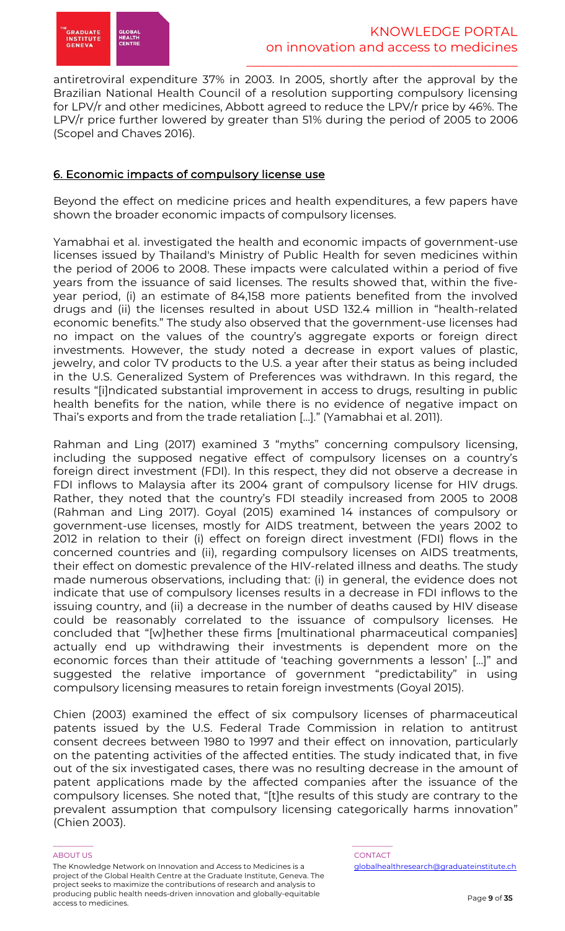

antiretroviral expenditure 37% in 2003. In 2005, shortly after the approval by the Brazilian National Health Council of a resolution supporting compulsory licensing for LPV/r and other medicines, Abbott agreed to reduce the LPV/r price by 46%. The LPV/r price further lowered by greater than 51% during the period of 2005 to 2006 (Scopel and Chaves 2016).

# 6. Economic impacts of compulsory license use

Beyond the effect on medicine prices and health expenditures, a few papers have shown the broader economic impacts of compulsory licenses.

Yamabhai et al. investigated the health and economic impacts of government-use licenses issued by Thailand's Ministry of Public Health for seven medicines within the period of 2006 to 2008. These impacts were calculated within a period of five years from the issuance of said licenses. The results showed that, within the fiveyear period, (i) an estimate of 84,158 more patients benefited from the involved drugs and (ii) the licenses resulted in about USD 132.4 million in "health-related economic benefits." The study also observed that the government-use licenses had no impact on the values of the country's aggregate exports or foreign direct investments. However, the study noted a decrease in export values of plastic, jewelry, and color TV products to the U.S. a year after their status as being included in the U.S. Generalized System of Preferences was withdrawn. In this regard, the results "[i]ndicated substantial improvement in access to drugs, resulting in public health benefits for the nation, while there is no evidence of negative impact on Thai's exports and from the trade retaliation […]." (Yamabhai et al. 2011).

Rahman and Ling (2017) examined 3 "myths" concerning compulsory licensing, including the supposed negative effect of compulsory licenses on a country's foreign direct investment (FDI). In this respect, they did not observe a decrease in FDI inflows to Malaysia after its 2004 grant of compulsory license for HIV drugs. Rather, they noted that the country's FDI steadily increased from 2005 to 2008 (Rahman and Ling 2017). Goyal (2015) examined 14 instances of compulsory or government-use licenses, mostly for AIDS treatment, between the years 2002 to 2012 in relation to their (i) effect on foreign direct investment (FDI) flows in the concerned countries and (ii), regarding compulsory licenses on AIDS treatments, their effect on domestic prevalence of the HIV-related illness and deaths. The study made numerous observations, including that: (i) in general, the evidence does not indicate that use of compulsory licenses results in a decrease in FDI inflows to the issuing country, and (ii) a decrease in the number of deaths caused by HIV disease could be reasonably correlated to the issuance of compulsory licenses. He concluded that "[w]hether these firms [multinational pharmaceutical companies] actually end up withdrawing their investments is dependent more on the economic forces than their attitude of 'teaching governments a lesson' […]" and suggested the relative importance of government "predictability" in using compulsory licensing measures to retain foreign investments (Goyal 2015).

Chien (2003) examined the effect of six compulsory licenses of pharmaceutical patents issued by the U.S. Federal Trade Commission in relation to antitrust consent decrees between 1980 to 1997 and their effect on innovation, particularly on the patenting activities of the affected entities. The study indicated that, in five out of the six investigated cases, there was no resulting decrease in the amount of patent applications made by the affected companies after the issuance of the compulsory licenses. She noted that, "[t]he results of this study are contrary to the prevalent assumption that compulsory licensing categorically harms innovation" (Chien 2003).

#### ABOUT US AND LOCAL CONTACT AND LOCAL CONTACT AND LOCAL CONTACT AND LOCAL CONTACT.

The Knowledge Network on Innovation and Access to Medicines is a project of the Global Health Centre at the Graduate Institute, Geneva. The project seeks to maximize the contributions of research and analysis to producing public health needs-driven innovation and globally-equitable access to medicines.

\_\_\_\_\_\_\_\_\_\_\_ \_\_\_\_\_\_\_\_\_\_\_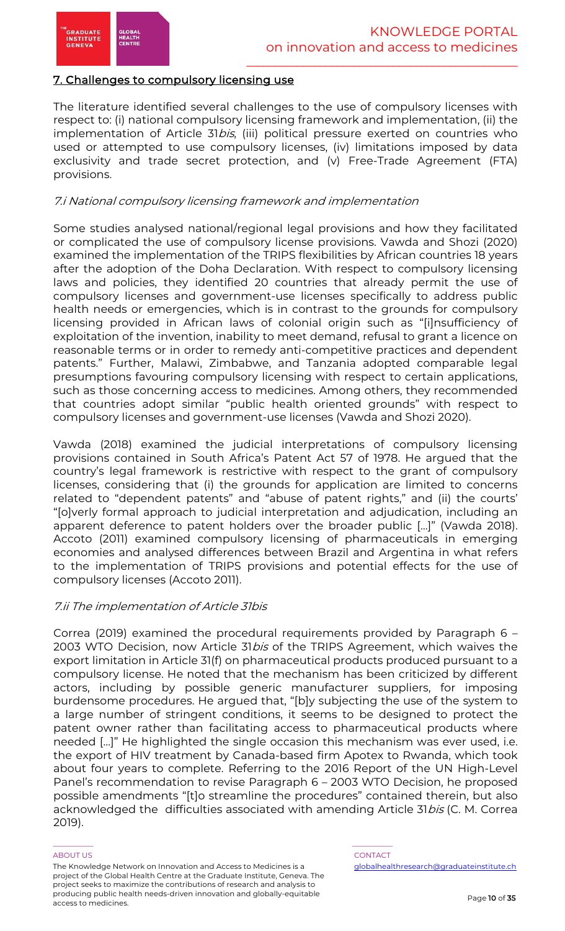

# 7. Challenges to compulsory licensing use

The literature identified several challenges to the use of compulsory licenses with respect to: (i) national compulsory licensing framework and implementation, (ii) the implementation of Article 31bis, (iii) political pressure exerted on countries who used or attempted to use compulsory licenses, (iv) limitations imposed by data exclusivity and trade secret protection, and (v) Free-Trade Agreement (FTA) provisions.

### 7.i National compulsory licensing framework and implementation

Some studies analysed national/regional legal provisions and how they facilitated or complicated the use of compulsory license provisions. Vawda and Shozi (2020) examined the implementation of the TRIPS flexibilities by African countries 18 years after the adoption of the Doha Declaration. With respect to compulsory licensing laws and policies, they identified 20 countries that already permit the use of compulsory licenses and government-use licenses specifically to address public health needs or emergencies, which is in contrast to the grounds for compulsory licensing provided in African laws of colonial origin such as "[i]nsufficiency of exploitation of the invention, inability to meet demand, refusal to grant a licence on reasonable terms or in order to remedy anti-competitive practices and dependent patents." Further, Malawi, Zimbabwe, and Tanzania adopted comparable legal presumptions favouring compulsory licensing with respect to certain applications, such as those concerning access to medicines. Among others, they recommended that countries adopt similar "public health oriented grounds" with respect to compulsory licenses and government-use licenses (Vawda and Shozi 2020).

Vawda (2018) examined the judicial interpretations of compulsory licensing provisions contained in South Africa's Patent Act 57 of 1978. He argued that the country's legal framework is restrictive with respect to the grant of compulsory licenses, considering that (i) the grounds for application are limited to concerns related to "dependent patents" and "abuse of patent rights," and (ii) the courts' "[o]verly formal approach to judicial interpretation and adjudication, including an apparent deference to patent holders over the broader public […]" (Vawda 2018). Accoto (2011) examined compulsory licensing of pharmaceuticals in emerging economies and analysed differences between Brazil and Argentina in what refers to the implementation of TRIPS provisions and potential effects for the use of compulsory licenses (Accoto 2011).

#### 7.ii The implementation of Article 31bis

Correa (2019) examined the procedural requirements provided by Paragraph 6 – 2003 WTO Decision, now Article 31bis of the TRIPS Agreement, which waives the export limitation in Article 31(f) on pharmaceutical products produced pursuant to a compulsory license. He noted that the mechanism has been criticized by different actors, including by possible generic manufacturer suppliers, for imposing burdensome procedures. He argued that, "[b]y subjecting the use of the system to a large number of stringent conditions, it seems to be designed to protect the patent owner rather than facilitating access to pharmaceutical products where needed […]" He highlighted the single occasion this mechanism was ever used, i.e. the export of HIV treatment by Canada-based firm Apotex to Rwanda, which took about four years to complete. Referring to the 2016 Report of the UN High-Level Panel's recommendation to revise Paragraph 6 – 2003 WTO Decision, he proposed possible amendments "[t]o streamline the procedures" contained therein, but also acknowledged the difficulties associated with amending Article 31*bis* (C. M. Correa 2019).

#### ABOUT US AND LOCAL CONTACT AND LOCAL CONTACT AND LOCAL CONTACT AND LOCAL CONTACT.

The Knowledge Network on Innovation and Access to Medicines is a project of the Global Health Centre at the Graduate Institute, Geneva. The project seeks to maximize the contributions of research and analysis to producing public health needs-driven innovation and globally-equitable access to medicines.

\_\_\_\_\_\_\_\_\_\_\_ \_\_\_\_\_\_\_\_\_\_\_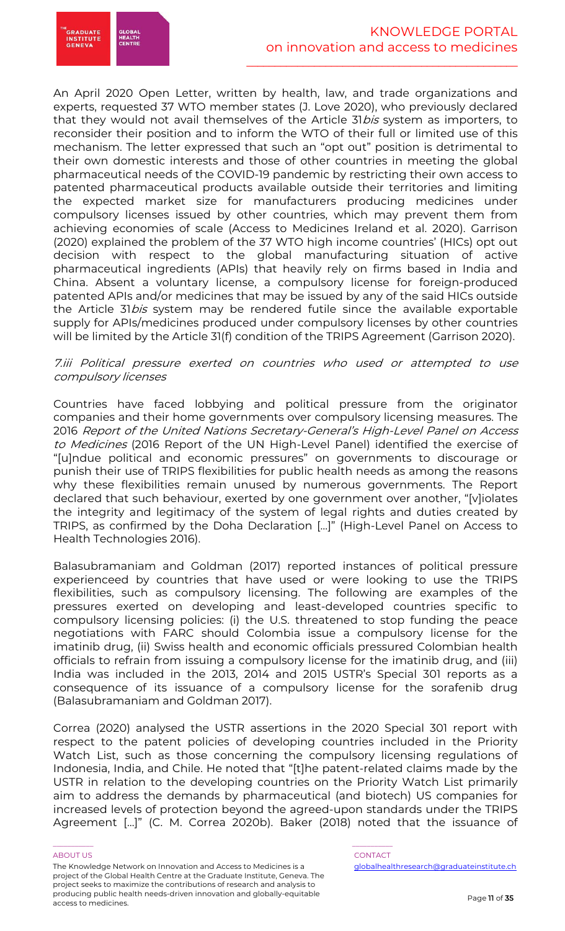

An April 2020 Open Letter, written by health, law, and trade organizations and experts, requested 37 WTO member states (J. Love 2020), who previously declared that they would not avail themselves of the Article 31bis system as importers, to reconsider their position and to inform the WTO of their full or limited use of this mechanism. The letter expressed that such an "opt out" position is detrimental to their own domestic interests and those of other countries in meeting the global pharmaceutical needs of the COVID-19 pandemic by restricting their own access to patented pharmaceutical products available outside their territories and limiting the expected market size for manufacturers producing medicines under compulsory licenses issued by other countries, which may prevent them from achieving economies of scale (Access to Medicines Ireland et al. 2020). Garrison (2020) explained the problem of the 37 WTO high income countries' (HICs) opt out decision with respect to the global manufacturing situation of active pharmaceutical ingredients (APIs) that heavily rely on firms based in India and China. Absent a voluntary license, a compulsory license for foreign-produced patented APIs and/or medicines that may be issued by any of the said HICs outside the Article 31bis system may be rendered futile since the available exportable supply for APIs/medicines produced under compulsory licenses by other countries will be limited by the Article 31(f) condition of the TRIPS Agreement (Garrison 2020).

### 7.iii Political pressure exerted on countries who used or attempted to use compulsory licenses

Countries have faced lobbying and political pressure from the originator companies and their home governments over compulsory licensing measures. The 2016 Report of the United Nations Secretary-General's High-Level Panel on Access to Medicines (2016 Report of the UN High-Level Panel) identified the exercise of "[u]ndue political and economic pressures" on governments to discourage or punish their use of TRIPS flexibilities for public health needs as among the reasons why these flexibilities remain unused by numerous governments. The Report declared that such behaviour, exerted by one government over another, "[v]iolates the integrity and legitimacy of the system of legal rights and duties created by TRIPS, as confirmed by the Doha Declaration […]" (High-Level Panel on Access to Health Technologies 2016).

Balasubramaniam and Goldman (2017) reported instances of political pressure experienceed by countries that have used or were looking to use the TRIPS flexibilities, such as compulsory licensing. The following are examples of the pressures exerted on developing and least-developed countries specific to compulsory licensing policies: (i) the U.S. threatened to stop funding the peace negotiations with FARC should Colombia issue a compulsory license for the imatinib drug, (ii) Swiss health and economic officials pressured Colombian health officials to refrain from issuing a compulsory license for the imatinib drug, and (iii) India was included in the 2013, 2014 and 2015 USTR's Special 301 reports as a consequence of its issuance of a compulsory license for the sorafenib drug (Balasubramaniam and Goldman 2017).

Correa (2020) analysed the USTR assertions in the 2020 Special 301 report with respect to the patent policies of developing countries included in the Priority Watch List, such as those concerning the compulsory licensing regulations of Indonesia, India, and Chile. He noted that "[t]he patent-related claims made by the USTR in relation to the developing countries on the Priority Watch List primarily aim to address the demands by pharmaceutical (and biotech) US companies for increased levels of protection beyond the agreed-upon standards under the TRIPS Agreement […]" (C. M. Correa 2020b). Baker (2018) noted that the issuance of

#### ABOUT US AND LOCAL CONTACT AND LOCAL CONTACT AND LOCAL CONTACT AND LOCAL CONTACT.

The Knowledge Network on Innovation and Access to Medicines is a project of the Global Health Centre at the Graduate Institute, Geneva. The project seeks to maximize the contributions of research and analysis to producing public health needs-driven innovation and globally-equitable access to medicines.

# \_\_\_\_\_\_\_\_\_\_\_ \_\_\_\_\_\_\_\_\_\_\_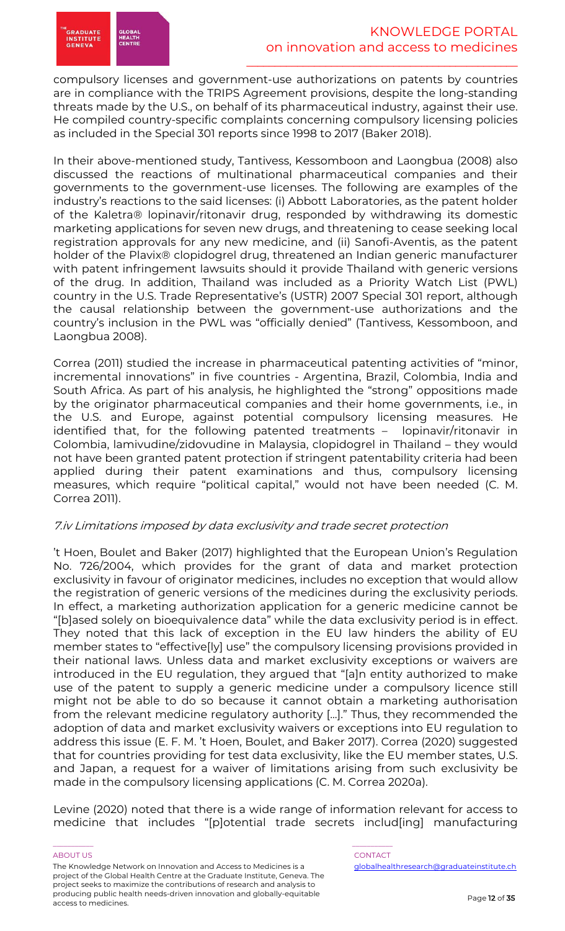

compulsory licenses and government-use authorizations on patents by countries are in compliance with the TRIPS Agreement provisions, despite the long-standing threats made by the U.S., on behalf of its pharmaceutical industry, against their use. He compiled country-specific complaints concerning compulsory licensing policies as included in the Special 301 reports since 1998 to 2017 (Baker 2018).

In their above-mentioned study, Tantivess, Kessomboon and Laongbua (2008) also discussed the reactions of multinational pharmaceutical companies and their governments to the government-use licenses. The following are examples of the industry's reactions to the said licenses: (i) Abbott Laboratories, as the patent holder of the Kaletra® lopinavir/ritonavir drug, responded by withdrawing its domestic marketing applications for seven new drugs, and threatening to cease seeking local registration approvals for any new medicine, and (ii) Sanofi-Aventis, as the patent holder of the Plavix® clopidogrel drug, threatened an Indian generic manufacturer with patent infringement lawsuits should it provide Thailand with generic versions of the drug. In addition, Thailand was included as a Priority Watch List (PWL) country in the U.S. Trade Representative's (USTR) 2007 Special 301 report, although the causal relationship between the government-use authorizations and the country's inclusion in the PWL was "officially denied" (Tantivess, Kessomboon, and Laongbua 2008).

Correa (2011) studied the increase in pharmaceutical patenting activities of "minor, incremental innovations" in five countries - Argentina, Brazil, Colombia, India and South Africa. As part of his analysis, he highlighted the "strong" oppositions made by the originator pharmaceutical companies and their home governments, i.e., in the U.S. and Europe, against potential compulsory licensing measures. He identified that, for the following patented treatments – lopinavir/ritonavir in Colombia, lamivudine/zidovudine in Malaysia, clopidogrel in Thailand – they would not have been granted patent protection if stringent patentability criteria had been applied during their patent examinations and thus, compulsory licensing measures, which require "political capital," would not have been needed (C. M. Correa 2011).

# 7.iv Limitations imposed by data exclusivity and trade secret protection

't Hoen, Boulet and Baker (2017) highlighted that the European Union's Regulation No. 726/2004, which provides for the grant of data and market protection exclusivity in favour of originator medicines, includes no exception that would allow the registration of generic versions of the medicines during the exclusivity periods. In effect, a marketing authorization application for a generic medicine cannot be "[b]ased solely on bioequivalence data" while the data exclusivity period is in effect. They noted that this lack of exception in the EU law hinders the ability of EU member states to "effective[ly] use" the compulsory licensing provisions provided in their national laws. Unless data and market exclusivity exceptions or waivers are introduced in the EU regulation, they argued that "[a]n entity authorized to make use of the patent to supply a generic medicine under a compulsory licence still might not be able to do so because it cannot obtain a marketing authorisation from the relevant medicine regulatory authority [...]." Thus, they recommended the adoption of data and market exclusivity waivers or exceptions into EU regulation to address this issue (E. F. M. 't Hoen, Boulet, and Baker 2017). Correa (2020) suggested that for countries providing for test data exclusivity, like the EU member states, U.S. and Japan, a request for a waiver of limitations arising from such exclusivity be made in the compulsory licensing applications (C. M. Correa 2020a).

Levine (2020) noted that there is a wide range of information relevant for access to medicine that includes "[p]otential trade secrets includ[ing] manufacturing

#### ABOUT US AND LOCAL CONTACT AND LOCAL CONTACT AND LOCAL CONTACT AND LOCAL CONTACT. The Knowledge Network on Innovation and Access to Medicines is a project of the Global Health Centre at the Graduate Institute, Geneva. The project seeks to maximize the contributions of research and analysis to producing public health needs-driven innovation and globally-equitable access to medicines.

\_\_\_\_\_\_\_\_\_\_\_ \_\_\_\_\_\_\_\_\_\_\_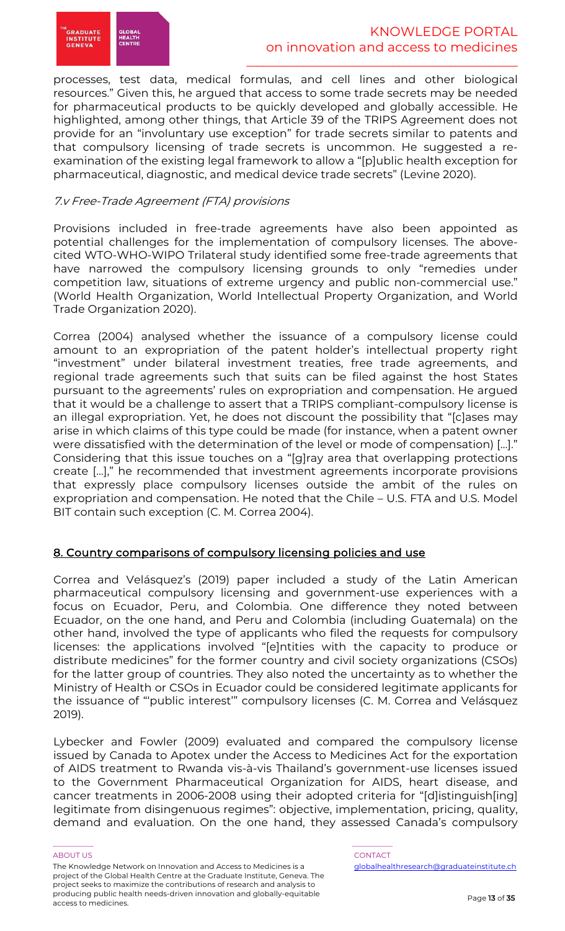

processes, test data, medical formulas, and cell lines and other biological resources." Given this, he argued that access to some trade secrets may be needed for pharmaceutical products to be quickly developed and globally accessible. He highlighted, among other things, that Article 39 of the TRIPS Agreement does not provide for an "involuntary use exception" for trade secrets similar to patents and that compulsory licensing of trade secrets is uncommon. He suggested a reexamination of the existing legal framework to allow a "[p]ublic health exception for pharmaceutical, diagnostic, and medical device trade secrets" (Levine 2020).

# 7.v Free-Trade Agreement (FTA) provisions

Provisions included in free-trade agreements have also been appointed as potential challenges for the implementation of compulsory licenses. The abovecited WTO-WHO-WIPO Trilateral study identified some free-trade agreements that have narrowed the compulsory licensing grounds to only "remedies under competition law, situations of extreme urgency and public non-commercial use." (World Health Organization, World Intellectual Property Organization, and World Trade Organization 2020).

Correa (2004) analysed whether the issuance of a compulsory license could amount to an expropriation of the patent holder's intellectual property right "investment" under bilateral investment treaties, free trade agreements, and regional trade agreements such that suits can be filed against the host States pursuant to the agreements' rules on expropriation and compensation. He argued that it would be a challenge to assert that a TRIPS compliant-compulsory license is an illegal expropriation. Yet, he does not discount the possibility that "[c]ases may arise in which claims of this type could be made (for instance, when a patent owner were dissatisfied with the determination of the level or mode of compensation) […]." Considering that this issue touches on a "[g]ray area that overlapping protections create […]," he recommended that investment agreements incorporate provisions that expressly place compulsory licenses outside the ambit of the rules on expropriation and compensation. He noted that the Chile – U.S. FTA and U.S. Model BIT contain such exception (C. M. Correa 2004).

# 8. Country comparisons of compulsory licensing policies and use

Correa and Velásquez's (2019) paper included a study of the Latin American pharmaceutical compulsory licensing and government-use experiences with a focus on Ecuador, Peru, and Colombia. One difference they noted between Ecuador, on the one hand, and Peru and Colombia (including Guatemala) on the other hand, involved the type of applicants who filed the requests for compulsory licenses: the applications involved "[e]ntities with the capacity to produce or distribute medicines" for the former country and civil society organizations (CSOs) for the latter group of countries. They also noted the uncertainty as to whether the Ministry of Health or CSOs in Ecuador could be considered legitimate applicants for the issuance of "'public interest'" compulsory licenses (C. M. Correa and Velásquez 2019).

Lybecker and Fowler (2009) evaluated and compared the compulsory license issued by Canada to Apotex under the Access to Medicines Act for the exportation of AIDS treatment to Rwanda vis-à-vis Thailand's government-use licenses issued to the Government Pharmaceutical Organization for AIDS, heart disease, and cancer treatments in 2006-2008 using their adopted criteria for "[d]istinguish[ing] legitimate from disingenuous regimes": objective, implementation, pricing, quality, demand and evaluation. On the one hand, they assessed Canada's compulsory

#### ABOUT US AND LOCAL CONTACT AND LOCAL CONTACT AND LOCAL CONTACT AND LOCAL CONTACT.

The Knowledge Network on Innovation and Access to Medicines is a project of the Global Health Centre at the Graduate Institute, Geneva. The project seeks to maximize the contributions of research and analysis to producing public health needs-driven innovation and globally-equitable access to medicines.

\_\_\_\_\_\_\_\_\_\_\_ \_\_\_\_\_\_\_\_\_\_\_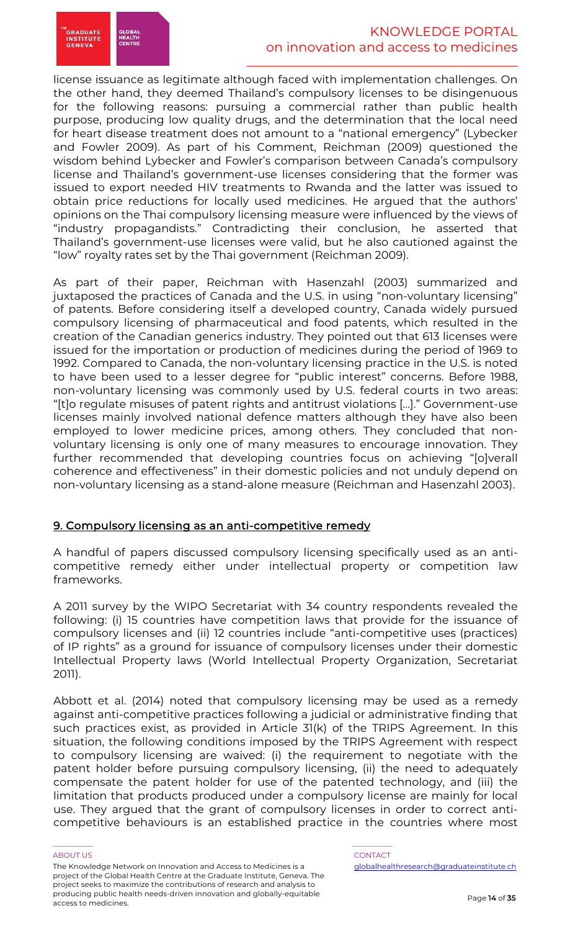

license issuance as legitimate although faced with implementation challenges. On the other hand, they deemed Thailand's compulsory licenses to be disingenuous for the following reasons: pursuing a commercial rather than public health purpose, producing low quality drugs, and the determination that the local need for heart disease treatment does not amount to a "national emergency" (Lybecker and Fowler 2009). As part of his Comment, Reichman (2009) questioned the wisdom behind Lybecker and Fowler's comparison between Canada's compulsory license and Thailand's government-use licenses considering that the former was issued to export needed HIV treatments to Rwanda and the latter was issued to obtain price reductions for locally used medicines. He argued that the authors' opinions on the Thai compulsory licensing measure were influenced by the views of "industry propagandists." Contradicting their conclusion, he asserted that Thailand's government-use licenses were valid, but he also cautioned against the "low" royalty rates set by the Thai government (Reichman 2009).

As part of their paper, Reichman with Hasenzahl (2003) summarized and juxtaposed the practices of Canada and the U.S. in using "non-voluntary licensing" of patents. Before considering itself a developed country, Canada widely pursued compulsory licensing of pharmaceutical and food patents, which resulted in the creation of the Canadian generics industry. They pointed out that 613 licenses were issued for the importation or production of medicines during the period of 1969 to 1992. Compared to Canada, the non-voluntary licensing practice in the U.S. is noted to have been used to a lesser degree for "public interest" concerns. Before 1988, non-voluntary licensing was commonly used by U.S. federal courts in two areas: "[t]o regulate misuses of patent rights and antitrust violations […]." Government-use licenses mainly involved national defence matters although they have also been employed to lower medicine prices, among others. They concluded that nonvoluntary licensing is only one of many measures to encourage innovation. They further recommended that developing countries focus on achieving "[o]verall coherence and effectiveness" in their domestic policies and not unduly depend on non-voluntary licensing as a stand-alone measure (Reichman and Hasenzahl 2003).

# 9. Compulsory licensing as an anti-competitive remedy

A handful of papers discussed compulsory licensing specifically used as an anticompetitive remedy either under intellectual property or competition law frameworks.

A 2011 survey by the WIPO Secretariat with 34 country respondents revealed the following: (i) 15 countries have competition laws that provide for the issuance of compulsory licenses and (ii) 12 countries include "anti-competitive uses (practices) of IP rights" as a ground for issuance of compulsory licenses under their domestic Intellectual Property laws (World Intellectual Property Organization, Secretariat 2011).

Abbott et al. (2014) noted that compulsory licensing may be used as a remedy against anti-competitive practices following a judicial or administrative finding that such practices exist, as provided in Article 31(k) of the TRIPS Agreement. In this situation, the following conditions imposed by the TRIPS Agreement with respect to compulsory licensing are waived: (i) the requirement to negotiate with the patent holder before pursuing compulsory licensing, (ii) the need to adequately compensate the patent holder for use of the patented technology, and (iii) the limitation that products produced under a compulsory license are mainly for local use. They argued that the grant of compulsory licenses in order to correct anticompetitive behaviours is an established practice in the countries where most

#### ABOUT US AND LOCAL CONTACT AND LOCAL CONTACT AND LOCAL CONTACT AND LOCAL CONTACT.

The Knowledge Network on Innovation and Access to Medicines is a project of the Global Health Centre at the Graduate Institute, Geneva. The project seeks to maximize the contributions of research and analysis to producing public health needs-driven innovation and globally-equitable access to medicines.

\_\_\_\_\_\_\_\_\_\_\_ \_\_\_\_\_\_\_\_\_\_\_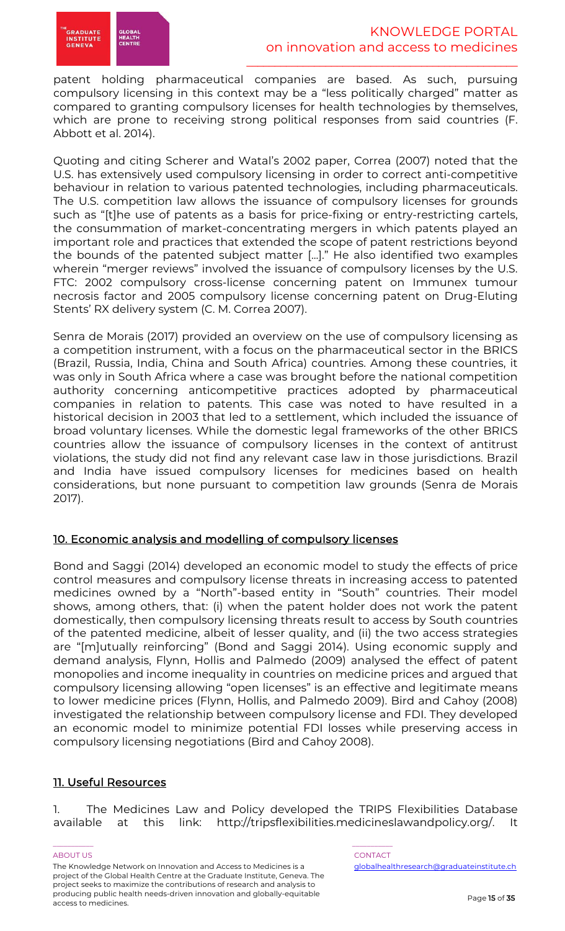patent holding pharmaceutical companies are based. As such, pursuing compulsory licensing in this context may be a "less politically charged" matter as compared to granting compulsory licenses for health technologies by themselves, which are prone to receiving strong political responses from said countries (F. Abbott et al. 2014).

Quoting and citing Scherer and Watal's 2002 paper, Correa (2007) noted that the U.S. has extensively used compulsory licensing in order to correct anti-competitive behaviour in relation to various patented technologies, including pharmaceuticals. The U.S. competition law allows the issuance of compulsory licenses for grounds such as "[t]he use of patents as a basis for price-fixing or entry-restricting cartels, the consummation of market-concentrating mergers in which patents played an important role and practices that extended the scope of patent restrictions beyond the bounds of the patented subject matter [...]." He also identified two examples wherein "merger reviews" involved the issuance of compulsory licenses by the U.S. FTC: 2002 compulsory cross-license concerning patent on Immunex tumour necrosis factor and 2005 compulsory license concerning patent on Drug-Eluting Stents' RX delivery system (C. M. Correa 2007).

Senra de Morais (2017) provided an overview on the use of compulsory licensing as a competition instrument, with a focus on the pharmaceutical sector in the BRICS (Brazil, Russia, India, China and South Africa) countries. Among these countries, it was only in South Africa where a case was brought before the national competition authority concerning anticompetitive practices adopted by pharmaceutical companies in relation to patents. This case was noted to have resulted in a historical decision in 2003 that led to a settlement, which included the issuance of broad voluntary licenses. While the domestic legal frameworks of the other BRICS countries allow the issuance of compulsory licenses in the context of antitrust violations, the study did not find any relevant case law in those jurisdictions. Brazil and India have issued compulsory licenses for medicines based on health considerations, but none pursuant to competition law grounds (Senra de Morais 2017).

# 10. Economic analysis and modelling of compulsory licenses

Bond and Saggi (2014) developed an economic model to study the effects of price control measures and compulsory license threats in increasing access to patented medicines owned by a "North"-based entity in "South" countries. Their model shows, among others, that: (i) when the patent holder does not work the patent domestically, then compulsory licensing threats result to access by South countries of the patented medicine, albeit of lesser quality, and (ii) the two access strategies are "[m]utually reinforcing" (Bond and Saggi 2014). Using economic supply and demand analysis, Flynn, Hollis and Palmedo (2009) analysed the effect of patent monopolies and income inequality in countries on medicine prices and argued that compulsory licensing allowing "open licenses" is an effective and legitimate means to lower medicine prices (Flynn, Hollis, and Palmedo 2009). Bird and Cahoy (2008) investigated the relationship between compulsory license and FDI. They developed an economic model to minimize potential FDI losses while preserving access in compulsory licensing negotiations (Bird and Cahoy 2008).

# 11. Useful Resources

1. The Medicines Law and Policy developed the TRIPS Flexibilities Database available at this link: http://tripsflexibilities.medicineslawandpolicy.org/. It

#### ABOUT US AND LOCAL CONTACT AND LOCAL CONTACT AND LOCAL CONTACT AND LOCAL CONTACT. The Knowledge Network on Innovation and Access to Medicines is a project of the Global Health Centre at the Graduate Institute, Geneva. The project seeks to maximize the contributions of research and analysis to producing public health needs-driven innovation and globally-equitable access to medicines.

\_\_\_\_\_\_\_\_\_\_\_ \_\_\_\_\_\_\_\_\_\_\_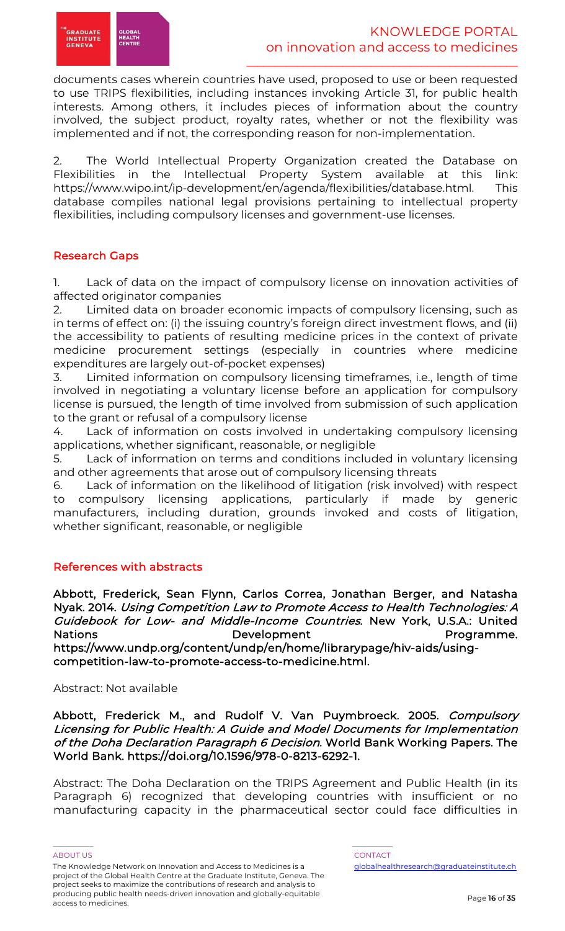documents cases wherein countries have used, proposed to use or been requested to use TRIPS flexibilities, including instances invoking Article 31, for public health interests. Among others, it includes pieces of information about the country involved, the subject product, royalty rates, whether or not the flexibility was implemented and if not, the corresponding reason for non-implementation.

2. The World Intellectual Property Organization created the Database on Flexibilities in the Intellectual Property System available at this link: https://www.wipo.int/ip-development/en/agenda/flexibilities/database.html. This database compiles national legal provisions pertaining to intellectual property flexibilities, including compulsory licenses and government-use licenses.

# Research Gaps

1. Lack of data on the impact of compulsory license on innovation activities of affected originator companies

2. Limited data on broader economic impacts of compulsory licensing, such as in terms of effect on: (i) the issuing country's foreign direct investment flows, and (ii) the accessibility to patients of resulting medicine prices in the context of private medicine procurement settings (especially in countries where medicine expenditures are largely out-of-pocket expenses)

3. Limited information on compulsory licensing timeframes, i.e., length of time involved in negotiating a voluntary license before an application for compulsory license is pursued, the length of time involved from submission of such application to the grant or refusal of a compulsory license

4. Lack of information on costs involved in undertaking compulsory licensing applications, whether significant, reasonable, or negligible

5. Lack of information on terms and conditions included in voluntary licensing and other agreements that arose out of compulsory licensing threats

6. Lack of information on the likelihood of litigation (risk involved) with respect to compulsory licensing applications, particularly if made by generic manufacturers, including duration, grounds invoked and costs of litigation, whether significant, reasonable, or negligible

# References with abstracts

Abbott, Frederick, Sean Flynn, Carlos Correa, Jonathan Berger, and Natasha Nyak. 2014. Using Competition Law to Promote Access to Health Technologies: A Guidebook for Low- and Middle-Income Countries. New York, U.S.A.: United Nations **Development** Development Programme. https://www.undp.org/content/undp/en/home/librarypage/hiv-aids/usingcompetition-law-to-promote-access-to-medicine.html.

# Abstract: Not available

Abbott, Frederick M., and Rudolf V. Van Puymbroeck. 2005. Compulsory Licensing for Public Health: A Guide and Model Documents for Implementation of the Doha Declaration Paragraph 6 Decision. World Bank Working Papers. The World Bank. https://doi.org/10.1596/978-0-8213-6292-1.

Abstract: The Doha Declaration on the TRIPS Agreement and Public Health (in its Paragraph 6) recognized that developing countries with insufficient or no manufacturing capacity in the pharmaceutical sector could face difficulties in

ABOUT US AND LOCAL CONTACT AND LOCAL CONTACT AND LOCAL CONTACT AND LOCAL CONTACT.

The Knowledge Network on Innovation and Access to Medicines is a project of the Global Health Centre at the Graduate Institute, Geneva. The project seeks to maximize the contributions of research and analysis to producing public health needs-driven innovation and globally-equitable access to medicines.

\_\_\_\_\_\_\_\_\_\_\_ \_\_\_\_\_\_\_\_\_\_\_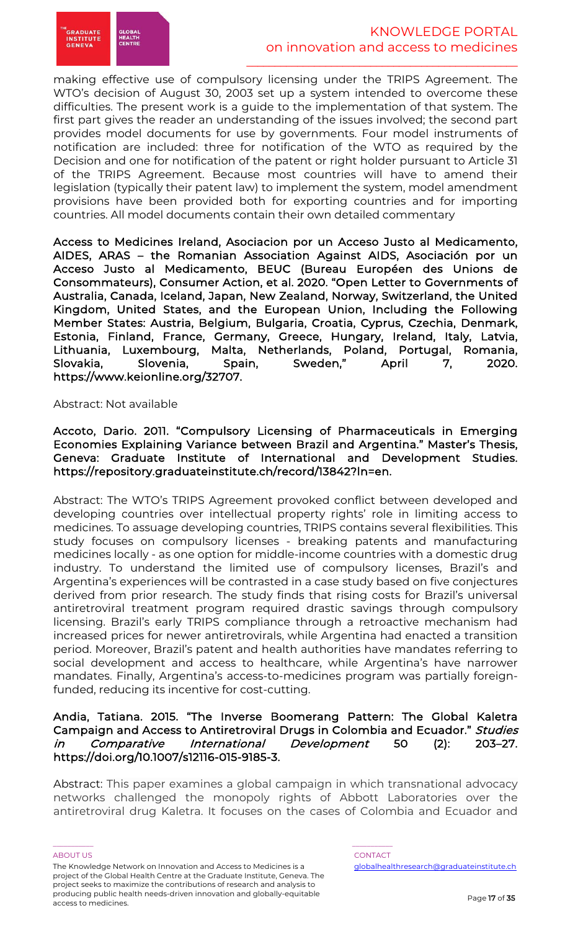

making effective use of compulsory licensing under the TRIPS Agreement. The WTO's decision of August 30, 2003 set up a system intended to overcome these difficulties. The present work is a guide to the implementation of that system. The first part gives the reader an understanding of the issues involved; the second part provides model documents for use by governments. Four model instruments of notification are included: three for notification of the WTO as required by the Decision and one for notification of the patent or right holder pursuant to Article 31 of the TRIPS Agreement. Because most countries will have to amend their legislation (typically their patent law) to implement the system, model amendment provisions have been provided both for exporting countries and for importing countries. All model documents contain their own detailed commentary

Access to Medicines Ireland, Asociacion por un Acceso Justo al Medicamento, AIDES, ARAS – the Romanian Association Against AIDS, Asociación por un Acceso Justo al Medicamento, BEUC (Bureau Européen des Unions de Consommateurs), Consumer Action, et al. 2020. "Open Letter to Governments of Australia, Canada, Iceland, Japan, New Zealand, Norway, Switzerland, the United Kingdom, United States, and the European Union, Including the Following Member States: Austria, Belgium, Bulgaria, Croatia, Cyprus, Czechia, Denmark, Estonia, Finland, France, Germany, Greece, Hungary, Ireland, Italy, Latvia, Lithuania, Luxembourg, Malta, Netherlands, Poland, Portugal, Romania, Slovakia, Slovenia, Spain, Sweden," April 7, 2020. https://www.keionline.org/32707.

Abstract: Not available

Accoto, Dario. 2011. "Compulsory Licensing of Pharmaceuticals in Emerging Economies Explaining Variance between Brazil and Argentina." Master's Thesis, Geneva: Graduate Institute of International and Development Studies. https://repository.graduateinstitute.ch/record/13842?ln=en.

Abstract: The WTO's TRIPS Agreement provoked conflict between developed and developing countries over intellectual property rights' role in limiting access to medicines. To assuage developing countries, TRIPS contains several flexibilities. This study focuses on compulsory licenses - breaking patents and manufacturing medicines locally - as one option for middle-income countries with a domestic drug industry. To understand the limited use of compulsory licenses, Brazil's and Argentina's experiences will be contrasted in a case study based on five conjectures derived from prior research. The study finds that rising costs for Brazil's universal antiretroviral treatment program required drastic savings through compulsory licensing. Brazil's early TRIPS compliance through a retroactive mechanism had increased prices for newer antiretrovirals, while Argentina had enacted a transition period. Moreover, Brazil's patent and health authorities have mandates referring to social development and access to healthcare, while Argentina's have narrower mandates. Finally, Argentina's access-to-medicines program was partially foreignfunded, reducing its incentive for cost-cutting.

# Andia, Tatiana. 2015. "The Inverse Boomerang Pattern: The Global Kaletra Campaign and Access to Antiretroviral Drugs in Colombia and Ecuador." Studies in Comparative International Development 50 (2): 203–27. https://doi.org/10.1007/s12116-015-9185-3.

Abstract: This paper examines a global campaign in which transnational advocacy networks challenged the monopoly rights of Abbott Laboratories over the antiretroviral drug Kaletra. It focuses on the cases of Colombia and Ecuador and

#### ABOUT US AND LOCAL CONTACT AND LOCAL CONTACT AND LOCAL CONTACT AND LOCAL CONTACT.

The Knowledge Network on Innovation and Access to Medicines is a project of the Global Health Centre at the Graduate Institute, Geneva. The project seeks to maximize the contributions of research and analysis to producing public health needs-driven innovation and globally-equitable access to medicines.

\_\_\_\_\_\_\_\_\_\_\_ \_\_\_\_\_\_\_\_\_\_\_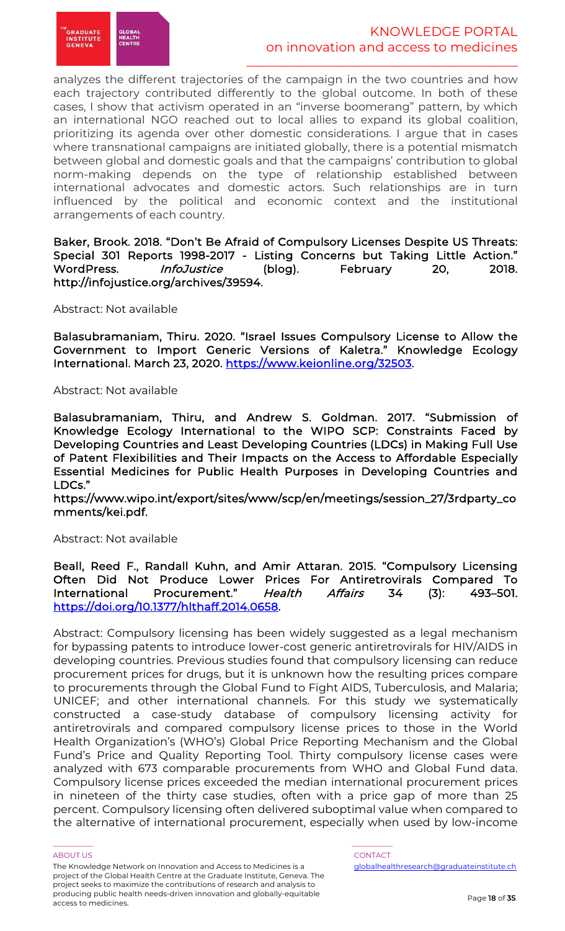

analyzes the different trajectories of the campaign in the two countries and how each trajectory contributed differently to the global outcome. In both of these cases, I show that activism operated in an "inverse boomerang" pattern, by which an international NGO reached out to local allies to expand its global coalition, prioritizing its agenda over other domestic considerations. I argue that in cases where transnational campaigns are initiated globally, there is a potential mismatch between global and domestic goals and that the campaigns' contribution to global norm-making depends on the type of relationship established between international advocates and domestic actors. Such relationships are in turn influenced by the political and economic context and the institutional arrangements of each country.

Baker, Brook. 2018. "Don't Be Afraid of Compulsory Licenses Despite US Threats: Special 301 Reports 1998-2017 - Listing Concerns but Taking Little Action." WordPress. *InfoJustice* (blog). February 20, 2018. http://infojustice.org/archives/39594.

#### Abstract: Not available

Balasubramaniam, Thiru. 2020. "Israel Issues Compulsory License to Allow the Government to Import Generic Versions of Kaletra." Knowledge Ecology International. March 23, 2020. https://www.keionline.org/32503.

#### Abstract: Not available

Balasubramaniam, Thiru, and Andrew S. Goldman. 2017. "Submission of Knowledge Ecology International to the WIPO SCP: Constraints Faced by Developing Countries and Least Developing Countries (LDCs) in Making Full Use of Patent Flexibilities and Their Impacts on the Access to Affordable Especially Essential Medicines for Public Health Purposes in Developing Countries and LDCs."

https://www.wipo.int/export/sites/www/scp/en/meetings/session\_27/3rdparty\_co mments/kei.pdf.

#### Abstract: Not available

Beall, Reed F., Randall Kuhn, and Amir Attaran. 2015. "Compulsory Licensing Often Did Not Produce Lower Prices For Antiretrovirals Compared To International Procurement." Health Affairs 34 (3): 493–501. https://doi.org/10.1377/hlthaff.2014.0658.

Abstract: Compulsory licensing has been widely suggested as a legal mechanism for bypassing patents to introduce lower-cost generic antiretrovirals for HIV/AIDS in developing countries. Previous studies found that compulsory licensing can reduce procurement prices for drugs, but it is unknown how the resulting prices compare to procurements through the Global Fund to Fight AIDS, Tuberculosis, and Malaria; UNICEF; and other international channels. For this study we systematically constructed a case-study database of compulsory licensing activity for antiretrovirals and compared compulsory license prices to those in the World Health Organization's (WHO's) Global Price Reporting Mechanism and the Global Fund's Price and Quality Reporting Tool. Thirty compulsory license cases were analyzed with 673 comparable procurements from WHO and Global Fund data. Compulsory license prices exceeded the median international procurement prices in nineteen of the thirty case studies, often with a price gap of more than 25 percent. Compulsory licensing often delivered suboptimal value when compared to the alternative of international procurement, especially when used by low-income

#### ABOUT US AND LOCAL CONTACT AND LOCAL CONTACT AND LOCAL CONTACT AND LOCAL CONTACT.

The Knowledge Network on Innovation and Access to Medicines is a project of the Global Health Centre at the Graduate Institute, Geneva. The project seeks to maximize the contributions of research and analysis to producing public health needs-driven innovation and globally-equitable access to medicines.

\_\_\_\_\_\_\_\_\_\_\_ \_\_\_\_\_\_\_\_\_\_\_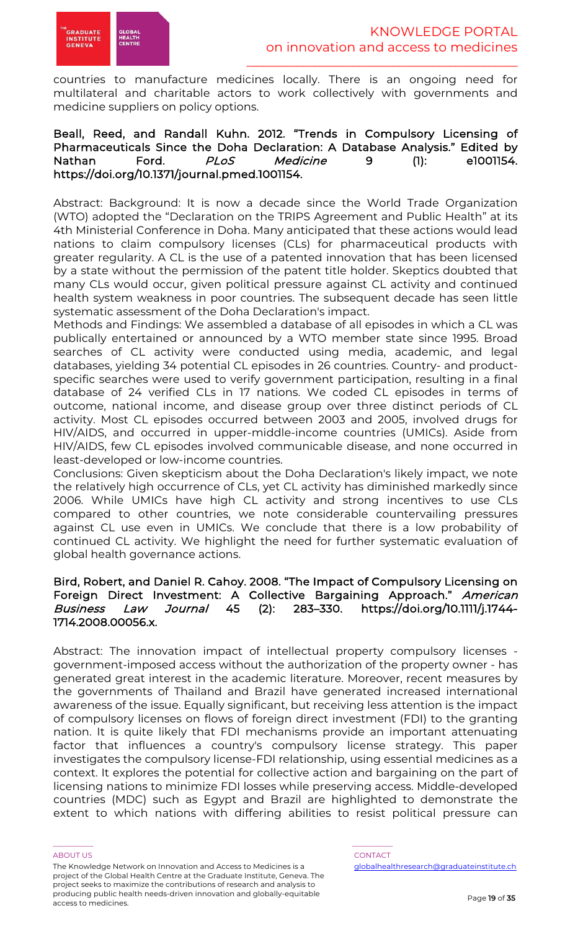

countries to manufacture medicines locally. There is an ongoing need for multilateral and charitable actors to work collectively with governments and medicine suppliers on policy options.

### Beall, Reed, and Randall Kuhn. 2012. "Trends in Compulsory Licensing of Pharmaceuticals Since the Doha Declaration: A Database Analysis." Edited by Nathan Ford. PLoS Medicine 9 (1): e1001154. https://doi.org/10.1371/journal.pmed.1001154.

Abstract: Background: It is now a decade since the World Trade Organization (WTO) adopted the "Declaration on the TRIPS Agreement and Public Health" at its 4th Ministerial Conference in Doha. Many anticipated that these actions would lead nations to claim compulsory licenses (CLs) for pharmaceutical products with greater regularity. A CL is the use of a patented innovation that has been licensed by a state without the permission of the patent title holder. Skeptics doubted that many CLs would occur, given political pressure against CL activity and continued health system weakness in poor countries. The subsequent decade has seen little systematic assessment of the Doha Declaration's impact.

Methods and Findings: We assembled a database of all episodes in which a CL was publically entertained or announced by a WTO member state since 1995. Broad searches of CL activity were conducted using media, academic, and legal databases, yielding 34 potential CL episodes in 26 countries. Country- and productspecific searches were used to verify government participation, resulting in a final database of 24 verified CLs in 17 nations. We coded CL episodes in terms of outcome, national income, and disease group over three distinct periods of CL activity. Most CL episodes occurred between 2003 and 2005, involved drugs for HIV/AIDS, and occurred in upper-middle-income countries (UMICs). Aside from HIV/AIDS, few CL episodes involved communicable disease, and none occurred in least-developed or low-income countries.

Conclusions: Given skepticism about the Doha Declaration's likely impact, we note the relatively high occurrence of CLs, yet CL activity has diminished markedly since 2006. While UMICs have high CL activity and strong incentives to use CLs compared to other countries, we note considerable countervailing pressures against CL use even in UMICs. We conclude that there is a low probability of continued CL activity. We highlight the need for further systematic evaluation of global health governance actions.

# Bird, Robert, and Daniel R. Cahoy. 2008. "The Impact of Compulsory Licensing on Foreign Direct Investment: A Collective Bargaining Approach." American Business Law Journal 45 (2): 283–330. https://doi.org/10.1111/j.1744- 1714.2008.00056.x.

Abstract: The innovation impact of intellectual property compulsory licenses government-imposed access without the authorization of the property owner - has generated great interest in the academic literature. Moreover, recent measures by the governments of Thailand and Brazil have generated increased international awareness of the issue. Equally significant, but receiving less attention is the impact of compulsory licenses on flows of foreign direct investment (FDI) to the granting nation. It is quite likely that FDI mechanisms provide an important attenuating factor that influences a country's compulsory license strategy. This paper investigates the compulsory license-FDI relationship, using essential medicines as a context. It explores the potential for collective action and bargaining on the part of licensing nations to minimize FDI losses while preserving access. Middle-developed countries (MDC) such as Egypt and Brazil are highlighted to demonstrate the extent to which nations with differing abilities to resist political pressure can

#### ABOUT US AND LOCAL CONTACT AND LOCAL CONTACT AND LOCAL CONTACT AND LOCAL CONTACT.

The Knowledge Network on Innovation and Access to Medicines is a project of the Global Health Centre at the Graduate Institute, Geneva. The project seeks to maximize the contributions of research and analysis to producing public health needs-driven innovation and globally-equitable access to medicines.

\_\_\_\_\_\_\_\_\_\_\_ \_\_\_\_\_\_\_\_\_\_\_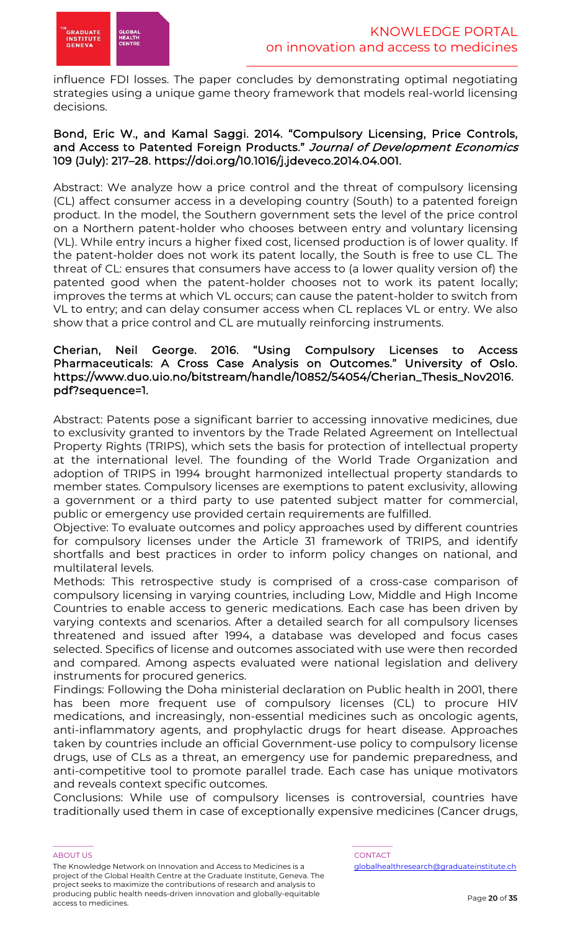

influence FDI losses. The paper concludes by demonstrating optimal negotiating strategies using a unique game theory framework that models real-world licensing decisions.

# Bond, Eric W., and Kamal Saggi. 2014. "Compulsory Licensing, Price Controls, and Access to Patented Foreign Products." Journal of Development Economics 109 (July): 217–28. https://doi.org/10.1016/j.jdeveco.2014.04.001.

Abstract: We analyze how a price control and the threat of compulsory licensing (CL) affect consumer access in a developing country (South) to a patented foreign product. In the model, the Southern government sets the level of the price control on a Northern patent-holder who chooses between entry and voluntary licensing (VL). While entry incurs a higher fixed cost, licensed production is of lower quality. If the patent-holder does not work its patent locally, the South is free to use CL. The threat of CL: ensures that consumers have access to (a lower quality version of) the patented good when the patent-holder chooses not to work its patent locally; improves the terms at which VL occurs; can cause the patent-holder to switch from VL to entry; and can delay consumer access when CL replaces VL or entry. We also show that a price control and CL are mutually reinforcing instruments.

# Cherian, Neil George. 2016. "Using Compulsory Licenses to Access Pharmaceuticals: A Cross Case Analysis on Outcomes." University of Oslo. https://www.duo.uio.no/bitstream/handle/10852/54054/Cherian\_Thesis\_Nov2016. pdf?sequence=1.

Abstract: Patents pose a significant barrier to accessing innovative medicines, due to exclusivity granted to inventors by the Trade Related Agreement on Intellectual Property Rights (TRIPS), which sets the basis for protection of intellectual property at the international level. The founding of the World Trade Organization and adoption of TRIPS in 1994 brought harmonized intellectual property standards to member states. Compulsory licenses are exemptions to patent exclusivity, allowing a government or a third party to use patented subject matter for commercial, public or emergency use provided certain requirements are fulfilled.

Objective: To evaluate outcomes and policy approaches used by different countries for compulsory licenses under the Article 31 framework of TRIPS, and identify shortfalls and best practices in order to inform policy changes on national, and multilateral levels.

Methods: This retrospective study is comprised of a cross-case comparison of compulsory licensing in varying countries, including Low, Middle and High Income Countries to enable access to generic medications. Each case has been driven by varying contexts and scenarios. After a detailed search for all compulsory licenses threatened and issued after 1994, a database was developed and focus cases selected. Specifics of license and outcomes associated with use were then recorded and compared. Among aspects evaluated were national legislation and delivery instruments for procured generics.

Findings: Following the Doha ministerial declaration on Public health in 2001, there has been more frequent use of compulsory licenses (CL) to procure HIV medications, and increasingly, non-essential medicines such as oncologic agents, anti-inflammatory agents, and prophylactic drugs for heart disease. Approaches taken by countries include an official Government-use policy to compulsory license drugs, use of CLs as a threat, an emergency use for pandemic preparedness, and anti-competitive tool to promote parallel trade. Each case has unique motivators and reveals context specific outcomes.

Conclusions: While use of compulsory licenses is controversial, countries have traditionally used them in case of exceptionally expensive medicines (Cancer drugs,

#### ABOUT US AND LOCAL CONTACT AND LOCAL CONTACT AND LOCAL CONTACT AND LOCAL CONTACT. The Knowledge Network on Innovation and Access to Medicines is a project of the Global Health Centre at the Graduate Institute, Geneva. The project seeks to maximize the contributions of research and analysis to producing public health needs-driven innovation and globally-equitable access to medicines.

\_\_\_\_\_\_\_\_\_\_\_ \_\_\_\_\_\_\_\_\_\_\_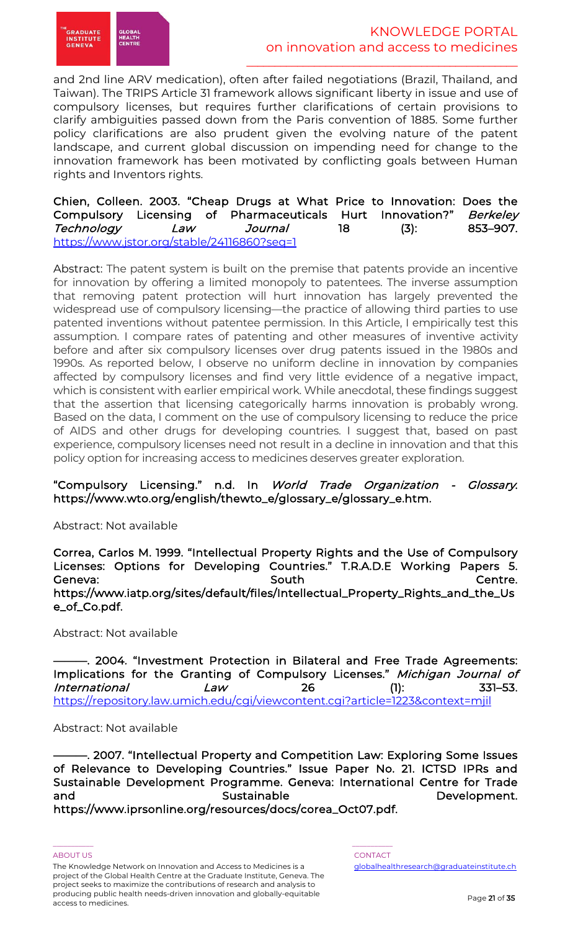

and 2nd line ARV medication), often after failed negotiations (Brazil, Thailand, and Taiwan). The TRIPS Article 31 framework allows significant liberty in issue and use of compulsory licenses, but requires further clarifications of certain provisions to clarify ambiguities passed down from the Paris convention of 1885. Some further policy clarifications are also prudent given the evolving nature of the patent landscape, and current global discussion on impending need for change to the innovation framework has been motivated by conflicting goals between Human rights and Inventors rights.

Chien, Colleen. 2003. "Cheap Drugs at What Price to Innovation: Does the Compulsory Licensing of Pharmaceuticals Hurt Innovation?" Berkeley Technology Law Journal 18 (3): 853–907. https://www.jstor.org/stable/24116860?seq=1

Abstract: The patent system is built on the premise that patents provide an incentive for innovation by offering a limited monopoly to patentees. The inverse assumption that removing patent protection will hurt innovation has largely prevented the widespread use of compulsory licensing—the practice of allowing third parties to use patented inventions without patentee permission. In this Article, I empirically test this assumption. I compare rates of patenting and other measures of inventive activity before and after six compulsory licenses over drug patents issued in the 1980s and 1990s. As reported below, I observe no uniform decline in innovation by companies affected by compulsory licenses and find very little evidence of a negative impact, which is consistent with earlier empirical work. While anecdotal, these findings suggest that the assertion that licensing categorically harms innovation is probably wrong. Based on the data, I comment on the use of compulsory licensing to reduce the price of AIDS and other drugs for developing countries. I suggest that, based on past experience, compulsory licenses need not result in a decline in innovation and that this policy option for increasing access to medicines deserves greater exploration.

# "Compulsory Licensing." n.d. In World Trade Organization - Glossary. https://www.wto.org/english/thewto\_e/glossary\_e/glossary\_e.htm.

Abstract: Not available

Correa, Carlos M. 1999. "Intellectual Property Rights and the Use of Compulsory Licenses: Options for Developing Countries." T.R.A.D.E Working Papers 5. Geneva: South Centre. https://www.iatp.org/sites/default/files/Intellectual\_Property\_Rights\_and\_the\_Us e\_of\_Co.pdf.

Abstract: Not available

-. 2004. "Investment Protection in Bilateral and Free Trade Agreements: Implications for the Granting of Compulsory Licenses." Michigan Journal of  $International$   $Law$  26 (1): 331–53. https://repository.law.umich.edu/cgi/viewcontent.cgi?article=1223&context=mjil

Abstract: Not available

. 2007. "Intellectual Property and Competition Law: Exploring Some Issues of Relevance to Developing Countries." Issue Paper No. 21. ICTSD IPRs and Sustainable Development Programme. Geneva: International Centre for Trade and **Sustainable** Sustain ble **Development**. https://www.iprsonline.org/resources/docs/corea\_Oct07.pdf.

The Knowledge Network on Innovation and Access to Medicines is a project of the Global Health Centre at the Graduate Institute, Geneva. The project seeks to maximize the contributions of research and analysis to producing public health needs-driven innovation and globally-equitable access to medicines.

\_\_\_\_\_\_\_\_\_\_\_ \_\_\_\_\_\_\_\_\_\_\_

ABOUT US AND LOCAL CONTACT AND LOCAL CONTACT AND LOCAL CONTACT AND LOCAL CONTACT. globalhealthresearch@graduateinstitute.ch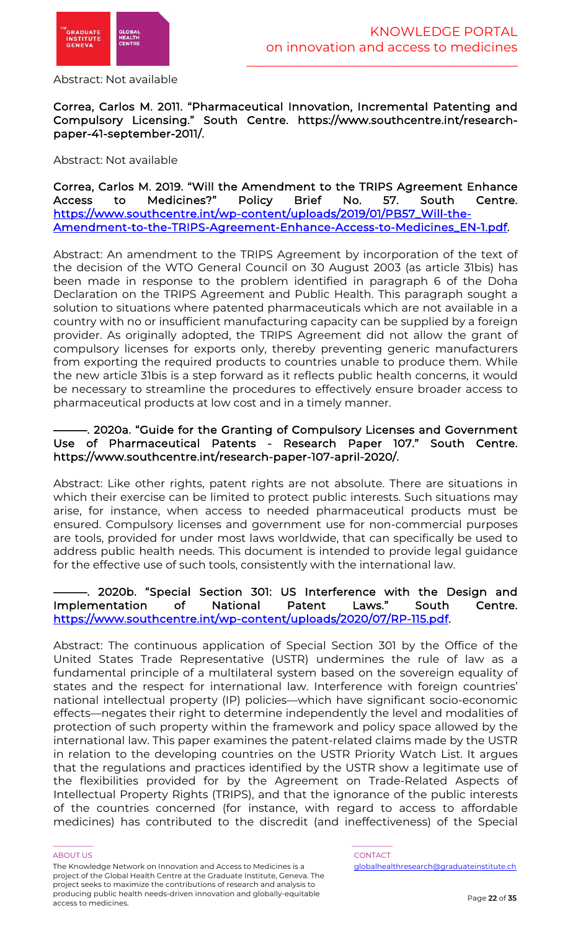

Abstract: Not available

# Correa, Carlos M. 2011. "Pharmaceutical Innovation, Incremental Patenting and Compulsory Licensing." South Centre. https://www.southcentre.int/researchpaper-41-september-2011/.

Abstract: Not available

# Correa, Carlos M. 2019. "Will the Amendment to the TRIPS Agreement Enhance Access to Medicines?" Policy Brief No. 57. South Centre. https://www.southcentre.int/wp-content/uploads/2019/01/PB57\_Will-the-Amendment-to-the-TRIPS-Agreement-Enhance-Access-to-Medicines\_EN-1.pdf.

Abstract: An amendment to the TRIPS Agreement by incorporation of the text of the decision of the WTO General Council on 30 August 2003 (as article 31bis) has been made in response to the problem identified in paragraph 6 of the Doha Declaration on the TRIPS Agreement and Public Health. This paragraph sought a solution to situations where patented pharmaceuticals which are not available in a country with no or insufficient manufacturing capacity can be supplied by a foreign provider. As originally adopted, the TRIPS Agreement did not allow the grant of compulsory licenses for exports only, thereby preventing generic manufacturers from exporting the required products to countries unable to produce them. While the new article 31bis is a step forward as it reflects public health concerns, it would be necessary to streamline the procedures to effectively ensure broader access to pharmaceutical products at low cost and in a timely manner.

### -. 2020a. "Guide for the Granting of Compulsory Licenses and Government Use of Pharmaceutical Patents - Research Paper 107." South Centre. https://www.southcentre.int/research-paper-107-april-2020/.

Abstract: Like other rights, patent rights are not absolute. There are situations in which their exercise can be limited to protect public interests. Such situations may arise, for instance, when access to needed pharmaceutical products must be ensured. Compulsory licenses and government use for non-commercial purposes are tools, provided for under most laws worldwide, that can specifically be used to address public health needs. This document is intended to provide legal guidance for the effective use of such tools, consistently with the international law.

# ———. 2020b. "Special Section 301: US Interference with the Design and Implementation of National Patent Laws." South Centre. https://www.southcentre.int/wp-content/uploads/2020/07/RP-115.pdf.

Abstract: The continuous application of Special Section 301 by the Office of the United States Trade Representative (USTR) undermines the rule of law as a fundamental principle of a multilateral system based on the sovereign equality of states and the respect for international law. Interference with foreign countries' national intellectual property (IP) policies—which have significant socio-economic effects—negates their right to determine independently the level and modalities of protection of such property within the framework and policy space allowed by the international law. This paper examines the patent-related claims made by the USTR in relation to the developing countries on the USTR Priority Watch List. It argues that the regulations and practices identified by the USTR show a legitimate use of the flexibilities provided for by the Agreement on Trade-Related Aspects of Intellectual Property Rights (TRIPS), and that the ignorance of the public interests of the countries concerned (for instance, with regard to access to affordable medicines) has contributed to the discredit (and ineffectiveness) of the Special

#### ABOUT US AND LOCAL CONTACT AND LOCAL CONTACT AND LOCAL CONTACT AND LOCAL CONTACT.

The Knowledge Network on Innovation and Access to Medicines is a project of the Global Health Centre at the Graduate Institute, Geneva. The project seeks to maximize the contributions of research and analysis to producing public health needs-driven innovation and globally-equitable access to medicines.

\_\_\_\_\_\_\_\_\_\_\_ \_\_\_\_\_\_\_\_\_\_\_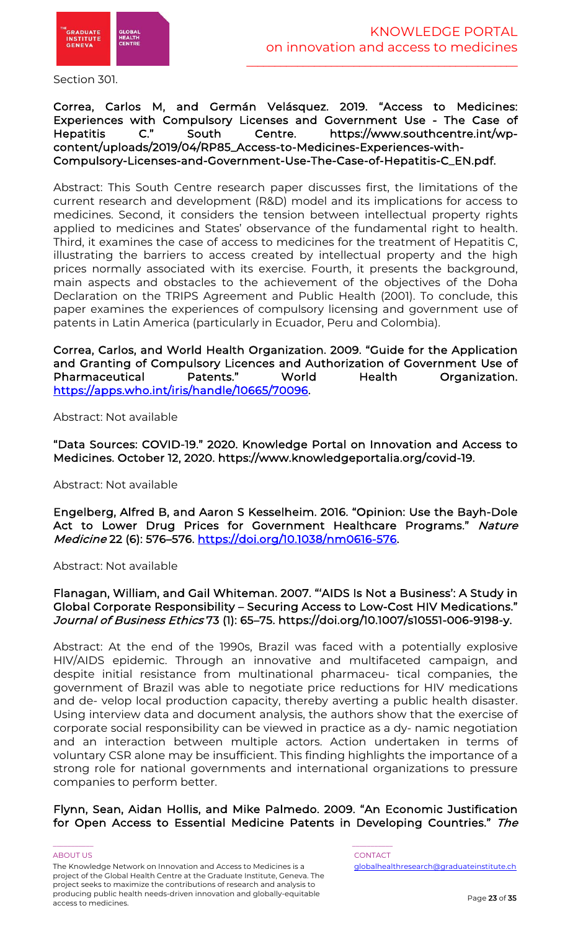

Section 301.

# Correa, Carlos M, and Germán Velásquez. 2019. "Access to Medicines: Experiences with Compulsory Licenses and Government Use - The Case of Hepatitis C." South Centre. https://www.southcentre.int/wpcontent/uploads/2019/04/RP85\_Access-to-Medicines-Experiences-with-Compulsory-Licenses-and-Government-Use-The-Case-of-Hepatitis-C\_EN.pdf.

Abstract: This South Centre research paper discusses first, the limitations of the current research and development (R&D) model and its implications for access to medicines. Second, it considers the tension between intellectual property rights applied to medicines and States' observance of the fundamental right to health. Third, it examines the case of access to medicines for the treatment of Hepatitis C, illustrating the barriers to access created by intellectual property and the high prices normally associated with its exercise. Fourth, it presents the background, main aspects and obstacles to the achievement of the objectives of the Doha Declaration on the TRIPS Agreement and Public Health (2001). To conclude, this paper examines the experiences of compulsory licensing and government use of patents in Latin America (particularly in Ecuador, Peru and Colombia).

Correa, Carlos, and World Health Organization. 2009. "Guide for the Application and Granting of Compulsory Licences and Authorization of Government Use of Pharmaceutical Patents." World Health Organization. https://apps.who.int/iris/handle/10665/70096.

Abstract: Not available

"Data Sources: COVID-19." 2020. Knowledge Portal on Innovation and Access to Medicines. October 12, 2020. https://www.knowledgeportalia.org/covid-19.

Abstract: Not available

Engelberg, Alfred B, and Aaron S Kesselheim. 2016. "Opinion: Use the Bayh-Dole Act to Lower Drug Prices for Government Healthcare Programs." Nature Medicine 22 (6): 576–576. https://doi.org/10.1038/nm0616-576.

Abstract: Not available

# Flanagan, William, and Gail Whiteman. 2007. "'AIDS Is Not a Business': A Study in Global Corporate Responsibility – Securing Access to Low-Cost HIV Medications." Journal of Business Ethics 73 (1): 65–75. https://doi.org/10.1007/s10551-006-9198-y.

Abstract: At the end of the 1990s, Brazil was faced with a potentially explosive HIV/AIDS epidemic. Through an innovative and multifaceted campaign, and despite initial resistance from multinational pharmaceu- tical companies, the government of Brazil was able to negotiate price reductions for HIV medications and de- velop local production capacity, thereby averting a public health disaster. Using interview data and document analysis, the authors show that the exercise of corporate social responsibility can be viewed in practice as a dy- namic negotiation and an interaction between multiple actors. Action undertaken in terms of voluntary CSR alone may be insufficient. This finding highlights the importance of a strong role for national governments and international organizations to pressure companies to perform better.

Flynn, Sean, Aidan Hollis, and Mike Palmedo. 2009. "An Economic Justification for Open Access to Essential Medicine Patents in Developing Countries." The

#### ABOUT US AND LOCAL CONTACT AND LOCAL CONTACT AND LOCAL CONTACT AND LOCAL CONTACT.

The Knowledge Network on Innovation and Access to Medicines is a project of the Global Health Centre at the Graduate Institute, Geneva. The project seeks to maximize the contributions of research and analysis to producing public health needs-driven innovation and globally-equitable access to medicines.

\_\_\_\_\_\_\_\_\_\_\_ \_\_\_\_\_\_\_\_\_\_\_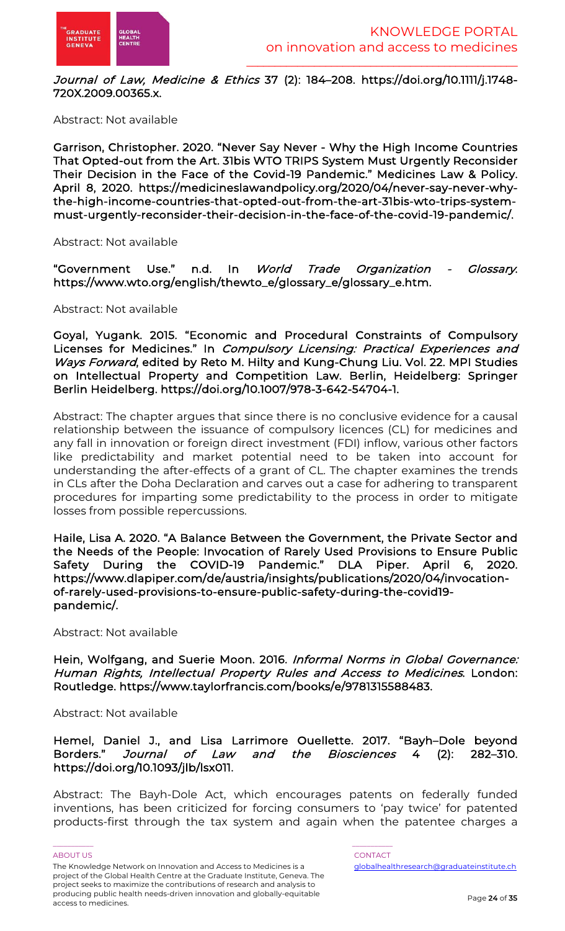

Journal of Law, Medicine & Ethics 37 (2): 184-208. https://doi.org/10.1111/j.1748-720X.2009.00365.x.

Abstract: Not available

Garrison, Christopher. 2020. "Never Say Never - Why the High Income Countries That Opted-out from the Art. 31bis WTO TRIPS System Must Urgently Reconsider Their Decision in the Face of the Covid-19 Pandemic." Medicines Law & Policy. April 8, 2020. https://medicineslawandpolicy.org/2020/04/never-say-never-whythe-high-income-countries-that-opted-out-from-the-art-31bis-wto-trips-systemmust-urgently-reconsider-their-decision-in-the-face-of-the-covid-19-pandemic/.

Abstract: Not available

"Government Use." n.d. In World Trade Organization - Glossary. https://www.wto.org/english/thewto\_e/glossary\_e/glossary\_e.htm.

Abstract: Not available

Goyal, Yugank. 2015. "Economic and Procedural Constraints of Compulsory Licenses for Medicines." In Compulsory Licensing: Practical Experiences and Ways Forward, edited by Reto M. Hilty and Kung-Chung Liu. Vol. 22. MPI Studies on Intellectual Property and Competition Law. Berlin, Heidelberg: Springer Berlin Heidelberg. https://doi.org/10.1007/978-3-642-54704-1.

Abstract: The chapter argues that since there is no conclusive evidence for a causal relationship between the issuance of compulsory licences (CL) for medicines and any fall in innovation or foreign direct investment (FDI) inflow, various other factors like predictability and market potential need to be taken into account for understanding the after-effects of a grant of CL. The chapter examines the trends in CLs after the Doha Declaration and carves out a case for adhering to transparent procedures for imparting some predictability to the process in order to mitigate losses from possible repercussions.

Haile, Lisa A. 2020. "A Balance Between the Government, the Private Sector and the Needs of the People: Invocation of Rarely Used Provisions to Ensure Public Safety During the COVID-19 Pandemic." DLA Piper. April 6, 2020. https://www.dlapiper.com/de/austria/insights/publications/2020/04/invocationof-rarely-used-provisions-to-ensure-public-safety-during-the-covid19 pandemic/.

Abstract: Not available

Hein, Wolfgang, and Suerie Moon. 2016. Informal Norms in Global Governance: Human Rights, Intellectual Property Rules and Access to Medicines. London: Routledge. https://www.taylorfrancis.com/books/e/9781315588483.

Abstract: Not available

Hemel, Daniel J., and Lisa Larrimore Ouellette. 2017. "Bayh–Dole beyond Borders." Journal of Law and the Biosciences 4 (2): 282–310. https://doi.org/10.1093/jlb/lsx011.

Abstract: The Bayh-Dole Act, which encourages patents on federally funded inventions, has been criticized for forcing consumers to 'pay twice' for patented products-first through the tax system and again when the patentee charges a

ABOUT US AND LOCAL CONTACT AND LOCAL CONTACT AND LOCAL CONTACT AND LOCAL CONTACT. The Knowledge Network on Innovation and Access to Medicines is a project of the Global Health Centre at the Graduate Institute, Geneva. The project seeks to maximize the contributions of research and analysis to producing public health needs-driven innovation and globally-equitable access to medicines.

\_\_\_\_\_\_\_\_\_\_\_ \_\_\_\_\_\_\_\_\_\_\_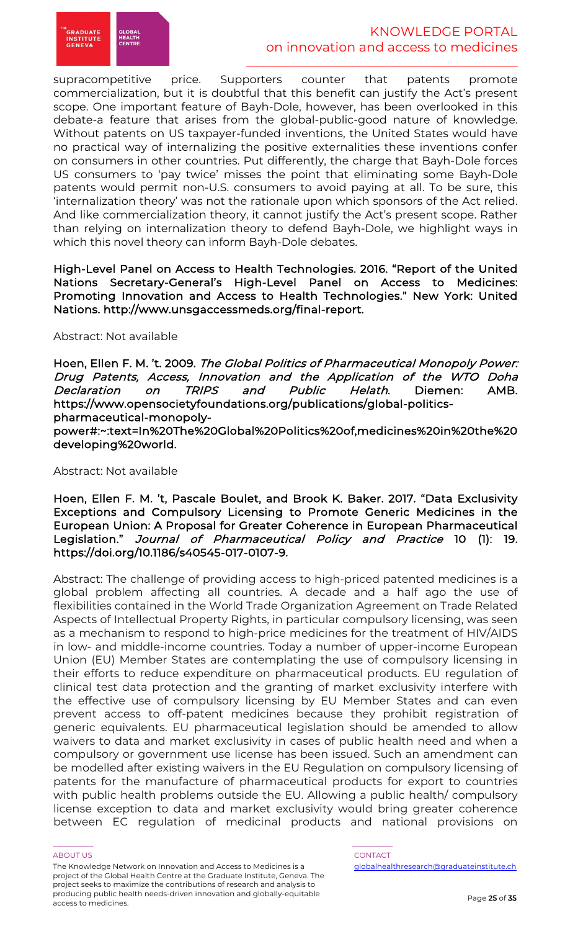

supracompetitive price. Supporters counter that patents promote commercialization, but it is doubtful that this benefit can justify the Act's present scope. One important feature of Bayh-Dole, however, has been overlooked in this debate-a feature that arises from the global-public-good nature of knowledge. Without patents on US taxpayer-funded inventions, the United States would have no practical way of internalizing the positive externalities these inventions confer on consumers in other countries. Put differently, the charge that Bayh-Dole forces US consumers to 'pay twice' misses the point that eliminating some Bayh-Dole patents would permit non-U.S. consumers to avoid paying at all. To be sure, this 'internalization theory' was not the rationale upon which sponsors of the Act relied. And like commercialization theory, it cannot justify the Act's present scope. Rather than relying on internalization theory to defend Bayh-Dole, we highlight ways in which this novel theory can inform Bayh-Dole debates.

High-Level Panel on Access to Health Technologies. 2016. "Report of the United Nations Secretary-General's High-Level Panel on Access to Medicines: Promoting Innovation and Access to Health Technologies." New York: United Nations. http://www.unsgaccessmeds.org/final-report.

#### Abstract: Not available

Hoen, Ellen F. M. 't. 2009. The Global Politics of Pharmaceutical Monopoly Power: Drug Patents, Access, Innovation and the Application of the WTO Doha Declaration on TRIPS and Public Helath. Diemen: AMB. https://www.opensocietyfoundations.org/publications/global-politicspharmaceutical-monopoly-

power#:~:text=In%20The%20Global%20Politics%20of,medicines%20in%20the%20 developing%20world.

#### Abstract: Not available

Hoen, Ellen F. M. 't, Pascale Boulet, and Brook K. Baker. 2017. "Data Exclusivity Exceptions and Compulsory Licensing to Promote Generic Medicines in the European Union: A Proposal for Greater Coherence in European Pharmaceutical Legislation." Journal of Pharmaceutical Policy and Practice 10 (1): 19. https://doi.org/10.1186/s40545-017-0107-9.

Abstract: The challenge of providing access to high-priced patented medicines is a global problem affecting all countries. A decade and a half ago the use of flexibilities contained in the World Trade Organization Agreement on Trade Related Aspects of Intellectual Property Rights, in particular compulsory licensing, was seen as a mechanism to respond to high-price medicines for the treatment of HIV/AIDS in low- and middle-income countries. Today a number of upper-income European Union (EU) Member States are contemplating the use of compulsory licensing in their efforts to reduce expenditure on pharmaceutical products. EU regulation of clinical test data protection and the granting of market exclusivity interfere with the effective use of compulsory licensing by EU Member States and can even prevent access to off-patent medicines because they prohibit registration of generic equivalents. EU pharmaceutical legislation should be amended to allow waivers to data and market exclusivity in cases of public health need and when a compulsory or government use license has been issued. Such an amendment can be modelled after existing waivers in the EU Regulation on compulsory licensing of patents for the manufacture of pharmaceutical products for export to countries with public health problems outside the EU. Allowing a public health/ compulsory license exception to data and market exclusivity would bring greater coherence between EC regulation of medicinal products and national provisions on

#### ABOUT US AND LOCAL CONTACT AND LOCAL CONTACT AND LOCAL CONTACT AND LOCAL CONTACT.

The Knowledge Network on Innovation and Access to Medicines is a project of the Global Health Centre at the Graduate Institute, Geneva. The project seeks to maximize the contributions of research and analysis to producing public health needs-driven innovation and globally-equitable access to medicines.

\_\_\_\_\_\_\_\_\_\_\_ \_\_\_\_\_\_\_\_\_\_\_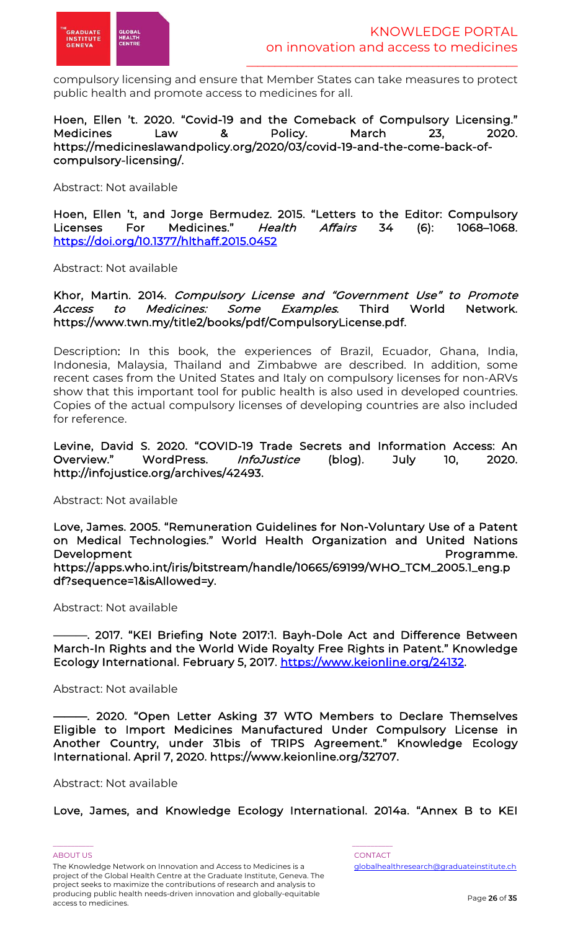

compulsory licensing and ensure that Member States can take measures to protect public health and promote access to medicines for all.

Hoen, Ellen 't. 2020. "Covid-19 and the Comeback of Compulsory Licensing." Medicines Law & Policy. March 23, 2020. https://medicineslawandpolicy.org/2020/03/covid-19-and-the-come-back-ofcompulsory-licensing/.

Abstract: Not available

Hoen, Ellen 't, and Jorge Bermudez. 2015. "Letters to the Editor: Compulsory Licenses For Medicines." Health Affairs 34 (6): 1068-1068. https://doi.org/10.1377/hlthaff.2015.0452

Abstract: Not available

Khor, Martin. 2014. Compulsory License and "Government Use" to Promote Access to Medicines: Some Examples. Third World Network. https://www.twn.my/title2/books/pdf/CompulsoryLicense.pdf.

Description: In this book, the experiences of Brazil, Ecuador, Ghana, India, Indonesia, Malaysia, Thailand and Zimbabwe are described. In addition, some recent cases from the United States and Italy on compulsory licenses for non-ARVs show that this important tool for public health is also used in developed countries. Copies of the actual compulsory licenses of developing countries are also included for reference.

Levine, David S. 2020. "COVID-19 Trade Secrets and Information Access: An Overview." WordPress. InfoJustice (blog). July 10, 2020. http://infojustice.org/archives/42493.

Abstract: Not available

Love, James. 2005. "Remuneration Guidelines for Non-Voluntary Use of a Patent on Medical Technologies." World Health Organization and United Nations Development **Programme.** https://apps.who.int/iris/bitstream/handle/10665/69199/WHO\_TCM\_2005.1\_eng.p df?sequence=1&isAllowed=y.

Abstract: Not available

-. 2017. "KEI Briefing Note 2017:1. Bayh-Dole Act and Difference Between March-In Rights and the World Wide Royalty Free Rights in Patent." Knowledge Ecology International. February 5, 2017. https://www.keionline.org/24132.

Abstract: Not available

-. 2020. "Open Letter Asking 37 WTO Members to Declare Themselves Eligible to Import Medicines Manufactured Under Compulsory License in Another Country, under 31bis of TRIPS Agreement." Knowledge Ecology International. April 7, 2020. https://www.keionline.org/32707.

Abstract: Not available

Love, James, and Knowledge Ecology International. 2014a. "Annex B to KEI

ABOUT US AND LOCAL CONTACT AND LOCAL CONTACT AND LOCAL CONTACT AND LOCAL CONTACT. The Knowledge Network on Innovation and Access to Medicines is a project of the Global Health Centre at the Graduate Institute, Geneva. The project seeks to maximize the contributions of research and analysis to producing public health needs-driven innovation and globally-equitable access to medicines.

\_\_\_\_\_\_\_\_\_\_\_ \_\_\_\_\_\_\_\_\_\_\_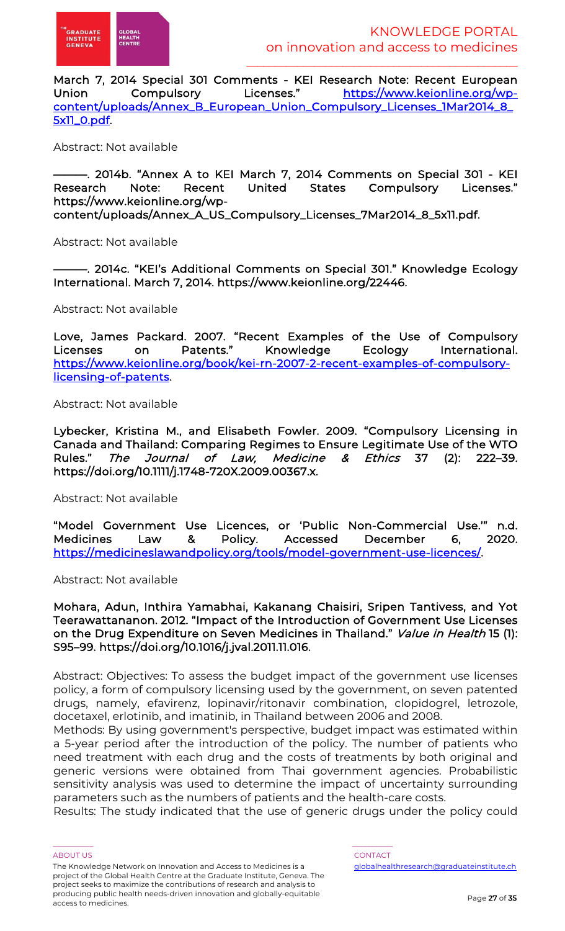March 7, 2014 Special 301 Comments - KEI Research Note: Recent European Union Compulsory Licenses." https://www.keionline.org/wpcontent/uploads/Annex\_B\_European\_Union\_Compulsory\_Licenses\_1Mar2014\_8\_ 5x11\_0.pdf.

Abstract: Not available

-. 2014b. "Annex A to KEI March 7, 2014 Comments on Special 301 - KEI Research Note: Recent United States Compulsory Licenses." https://www.keionline.org/wpcontent/uploads/Annex\_A\_US\_Compulsory\_Licenses\_7Mar2014\_8\_5x11.pdf.

Abstract: Not available

-. 2014c. "KEI's Additional Comments on Special 301." Knowledge Ecology International. March 7, 2014. https://www.keionline.org/22446.

Abstract: Not available

Love, James Packard. 2007. "Recent Examples of the Use of Compulsory Licenses on Patents." Knowledge Ecology International. https://www.keionline.org/book/kei-rn-2007-2-recent-examples-of-compulsorylicensing-of-patents.

Abstract: Not available

Lybecker, Kristina M., and Elisabeth Fowler. 2009. "Compulsory Licensing in Canada and Thailand: Comparing Regimes to Ensure Legitimate Use of the WTO<br>Rules." The Journal of Law, Medicine & Ethics 37 (2): 222–39. The Journal of Law, Medicine & Ethics 37  $(2)$ : 222–39. https://doi.org/10.1111/j.1748-720X.2009.00367.x.

Abstract: Not available

"Model Government Use Licences, or 'Public Non-Commercial Use.'" n.d. Medicines Law & Policy. Accessed December 6, 2020. https://medicineslawandpolicy.org/tools/model-government-use-licences/.

Abstract: Not available

Mohara, Adun, Inthira Yamabhai, Kakanang Chaisiri, Sripen Tantivess, and Yot Teerawattananon. 2012. "Impact of the Introduction of Government Use Licenses on the Drug Expenditure on Seven Medicines in Thailand." Value in Health 15 (1): S95–99. https://doi.org/10.1016/j.jval.2011.11.016.

Abstract: Objectives: To assess the budget impact of the government use licenses policy, a form of compulsory licensing used by the government, on seven patented drugs, namely, efavirenz, lopinavir/ritonavir combination, clopidogrel, letrozole, docetaxel, erlotinib, and imatinib, in Thailand between 2006 and 2008.

Methods: By using government's perspective, budget impact was estimated within a 5-year period after the introduction of the policy. The number of patients who need treatment with each drug and the costs of treatments by both original and generic versions were obtained from Thai government agencies. Probabilistic sensitivity analysis was used to determine the impact of uncertainty surrounding parameters such as the numbers of patients and the health-care costs.

Results: The study indicated that the use of generic drugs under the policy could

ABOUT US AND LOCAL CONTACT AND LOCAL CONTACT AND LOCAL CONTACT AND LOCAL CONTACT. The Knowledge Network on Innovation and Access to Medicines is a project of the Global Health Centre at the Graduate Institute, Geneva. The project seeks to maximize the contributions of research and analysis to producing public health needs-driven innovation and globally-equitable access to medicines.

\_\_\_\_\_\_\_\_\_\_\_ \_\_\_\_\_\_\_\_\_\_\_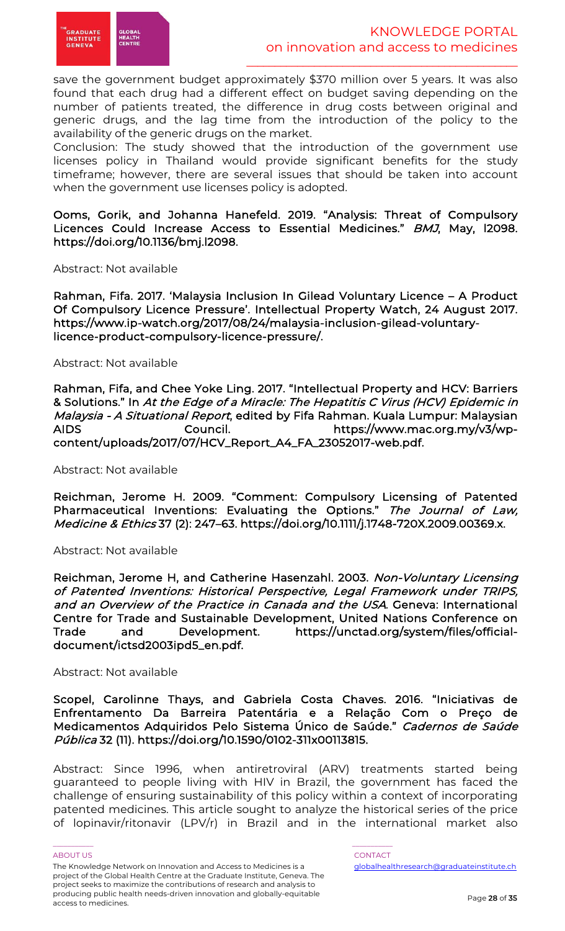

save the government budget approximately \$370 million over 5 years. It was also found that each drug had a different effect on budget saving depending on the number of patients treated, the difference in drug costs between original and generic drugs, and the lag time from the introduction of the policy to the availability of the generic drugs on the market.

Conclusion: The study showed that the introduction of the government use licenses policy in Thailand would provide significant benefits for the study timeframe; however, there are several issues that should be taken into account when the government use licenses policy is adopted.

Ooms, Gorik, and Johanna Hanefeld. 2019. "Analysis: Threat of Compulsory Licences Could Increase Access to Essential Medicines." BMJ, May, l2098. https://doi.org/10.1136/bmj.l2098.

Abstract: Not available

Rahman, Fifa. 2017. 'Malaysia Inclusion In Gilead Voluntary Licence – A Product Of Compulsory Licence Pressure'. Intellectual Property Watch, 24 August 2017. https://www.ip-watch.org/2017/08/24/malaysia-inclusion-gilead-voluntarylicence-product-compulsory-licence-pressure/.

#### Abstract: Not available

Rahman, Fifa, and Chee Yoke Ling. 2017. "Intellectual Property and HCV: Barriers & Solutions." In At the Edge of a Miracle: The Hepatitis C Virus (HCV) Epidemic in Malaysia - A Situational Report, edited by Fifa Rahman. Kuala Lumpur: Malaysian AIDS Council. https://www.mac.org.my/v3/wpcontent/uploads/2017/07/HCV\_Report\_A4\_FA\_23052017-web.pdf.

Abstract: Not available

Reichman, Jerome H. 2009. "Comment: Compulsory Licensing of Patented Pharmaceutical Inventions: Evaluating the Options." The Journal of Law, Medicine & Ethics 37 (2): 247–63. https://doi.org/10.1111/j.1748-720X.2009.00369.x.

Abstract: Not available

Reichman, Jerome H, and Catherine Hasenzahl. 2003. Non-Voluntary Licensing of Patented Inventions: Historical Perspective, Legal Framework under TRIPS, and an Overview of the Practice in Canada and the USA. Geneva: International Centre for Trade and Sustainable Development, United Nations Conference on Trade and Development. https://unctad.org/system/files/officialdocument/ictsd2003ipd5\_en.pdf.

#### Abstract: Not available

Scopel, Carolinne Thays, and Gabriela Costa Chaves. 2016. "Iniciativas de Enfrentamento Da Barreira Patentária e a Relação Com o Preço de Medicamentos Adquiridos Pelo Sistema Único de Saúde." Cadernos de Saúde Pública 32 (11). https://doi.org/10.1590/0102-311x00113815.

Abstract: Since 1996, when antiretroviral (ARV) treatments started being guaranteed to people living with HIV in Brazil, the government has faced the challenge of ensuring sustainability of this policy within a context of incorporating patented medicines. This article sought to analyze the historical series of the price of lopinavir/ritonavir (LPV/r) in Brazil and in the international market also

ABOUT US AND LOCAL CONTACT AND LOCAL CONTACT AND LOCAL CONTACT AND LOCAL CONTACT. The Knowledge Network on Innovation and Access to Medicines is a project of the Global Health Centre at the Graduate Institute, Geneva. The project seeks to maximize the contributions of research and analysis to producing public health needs-driven innovation and globally-equitable access to medicines.

\_\_\_\_\_\_\_\_\_\_\_ \_\_\_\_\_\_\_\_\_\_\_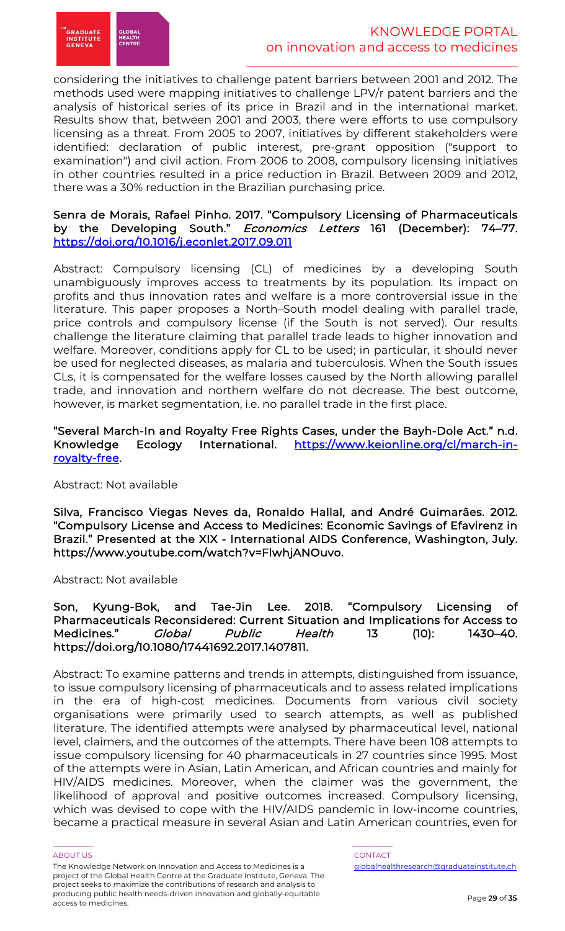

considering the initiatives to challenge patent barriers between 2001 and 2012. The methods used were mapping initiatives to challenge LPV/r patent barriers and the analysis of historical series of its price in Brazil and in the international market. Results show that, between 2001 and 2003, there were efforts to use compulsory licensing as a threat. From 2005 to 2007, initiatives by different stakeholders were identified: declaration of public interest, pre-grant opposition ("support to examination") and civil action. From 2006 to 2008, compulsory licensing initiatives in other countries resulted in a price reduction in Brazil. Between 2009 and 2012, there was a 30% reduction in the Brazilian purchasing price.

### Senra de Morais, Rafael Pinho. 2017. "Compulsory Licensing of Pharmaceuticals by the Developing South." Economics Letters 161 (December): 74–77. https://doi.org/10.1016/j.econlet.2017.09.011

Abstract: Compulsory licensing (CL) of medicines by a developing South unambiguously improves access to treatments by its population. Its impact on profits and thus innovation rates and welfare is a more controversial issue in the literature. This paper proposes a North–South model dealing with parallel trade, price controls and compulsory license (if the South is not served). Our results challenge the literature claiming that parallel trade leads to higher innovation and welfare. Moreover, conditions apply for CL to be used; in particular, it should never be used for neglected diseases, as malaria and tuberculosis. When the South issues CLs, it is compensated for the welfare losses caused by the North allowing parallel trade, and innovation and northern welfare do not decrease. The best outcome, however, is market segmentation, i.e. no parallel trade in the first place.

#### "Several March-In and Royalty Free Rights Cases, under the Bayh-Dole Act." n.d. Knowledge Ecology International. https://www.keionline.org/cl/march-inroyalty-free.

# Abstract: Not available

Silva, Francisco Viegas Neves da, Ronaldo Hallal, and André Guimarães. 2012. "Compulsory License and Access to Medicines: Economic Savings of Efavirenz in Brazil." Presented at the XIX - International AIDS Conference, Washington, July. https://www.youtube.com/watch?v=FlwhjANOuvo.

Abstract: Not available

### Son, Kyung-Bok, and Tae-Jin Lee. 2018. "Compulsory Licensing of Pharmaceuticals Reconsidered: Current Situation and Implications for Access to Medicines." Global Public Health 13 (10): 1430–40. https://doi.org/10.1080/17441692.2017.1407811.

Abstract: To examine patterns and trends in attempts, distinguished from issuance, to issue compulsory licensing of pharmaceuticals and to assess related implications in the era of high-cost medicines. Documents from various civil society organisations were primarily used to search attempts, as well as published literature. The identified attempts were analysed by pharmaceutical level, national level, claimers, and the outcomes of the attempts. There have been 108 attempts to issue compulsory licensing for 40 pharmaceuticals in 27 countries since 1995. Most of the attempts were in Asian, Latin American, and African countries and mainly for HIV/AIDS medicines. Moreover, when the claimer was the government, the likelihood of approval and positive outcomes increased. Compulsory licensing, which was devised to cope with the HIV/AIDS pandemic in low-income countries, became a practical measure in several Asian and Latin American countries, even for

#### ABOUT US AND LOCAL CONTACT AND LOCAL CONTACT AND LOCAL CONTACT AND LOCAL CONTACT.

The Knowledge Network on Innovation and Access to Medicines is a project of the Global Health Centre at the Graduate Institute, Geneva. The project seeks to maximize the contributions of research and analysis to producing public health needs-driven innovation and globally-equitable access to medicines.

\_\_\_\_\_\_\_\_\_\_\_ \_\_\_\_\_\_\_\_\_\_\_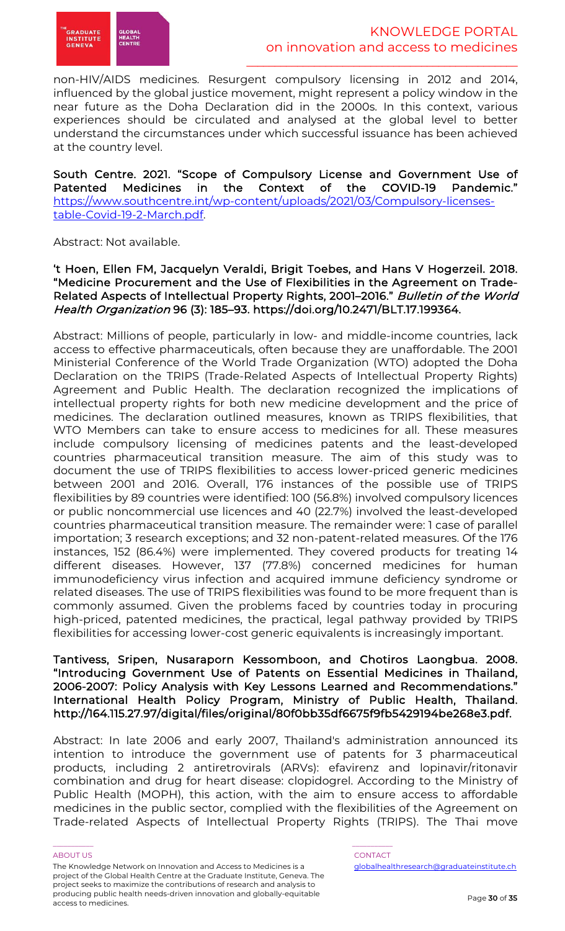

non-HIV/AIDS medicines. Resurgent compulsory licensing in 2012 and 2014, influenced by the global justice movement, might represent a policy window in the near future as the Doha Declaration did in the 2000s. In this context, various experiences should be circulated and analysed at the global level to better understand the circumstances under which successful issuance has been achieved at the country level.

South Centre. 2021. "Scope of Compulsory License and Government Use of Patented Medicines in the Context of the COVID-19 Pandemic." https://www.southcentre.int/wp-content/uploads/2021/03/Compulsory-licensestable-Covid-19-2-March.pdf.

Abstract: Not available.

# 't Hoen, Ellen FM, Jacquelyn Veraldi, Brigit Toebes, and Hans V Hogerzeil. 2018. "Medicine Procurement and the Use of Flexibilities in the Agreement on Trade-Related Aspects of Intellectual Property Rights, 2001–2016." Bulletin of the World Health Organization 96 (3): 185–93. https://doi.org/10.2471/BLT.17.199364.

Abstract: Millions of people, particularly in low- and middle-income countries, lack access to effective pharmaceuticals, often because they are unaffordable. The 2001 Ministerial Conference of the World Trade Organization (WTO) adopted the Doha Declaration on the TRIPS (Trade-Related Aspects of Intellectual Property Rights) Agreement and Public Health. The declaration recognized the implications of intellectual property rights for both new medicine development and the price of medicines. The declaration outlined measures, known as TRIPS flexibilities, that WTO Members can take to ensure access to medicines for all. These measures include compulsory licensing of medicines patents and the least-developed countries pharmaceutical transition measure. The aim of this study was to document the use of TRIPS flexibilities to access lower-priced generic medicines between 2001 and 2016. Overall, 176 instances of the possible use of TRIPS flexibilities by 89 countries were identified: 100 (56.8%) involved compulsory licences or public noncommercial use licences and 40 (22.7%) involved the least-developed countries pharmaceutical transition measure. The remainder were: 1 case of parallel importation; 3 research exceptions; and 32 non-patent-related measures. Of the 176 instances, 152 (86.4%) were implemented. They covered products for treating 14 different diseases. However, 137 (77.8%) concerned medicines for human immunodeficiency virus infection and acquired immune deficiency syndrome or related diseases. The use of TRIPS flexibilities was found to be more frequent than is commonly assumed. Given the problems faced by countries today in procuring high-priced, patented medicines, the practical, legal pathway provided by TRIPS flexibilities for accessing lower-cost generic equivalents is increasingly important.

# Tantivess, Sripen, Nusaraporn Kessomboon, and Chotiros Laongbua. 2008. "Introducing Government Use of Patents on Essential Medicines in Thailand, 2006-2007: Policy Analysis with Key Lessons Learned and Recommendations." International Health Policy Program, Ministry of Public Health, Thailand. http://164.115.27.97/digital/files/original/80f0bb35df6675f9fb5429194be268e3.pdf.

Abstract: In late 2006 and early 2007, Thailand's administration announced its intention to introduce the government use of patents for 3 pharmaceutical products, including 2 antiretrovirals (ARVs): efavirenz and lopinavir/ritonavir combination and drug for heart disease: clopidogrel. According to the Ministry of Public Health (MOPH), this action, with the aim to ensure access to affordable medicines in the public sector, complied with the flexibilities of the Agreement on Trade-related Aspects of Intellectual Property Rights (TRIPS). The Thai move

#### ABOUT US AND LOCAL CONTACT AND LOCAL CONTACT AND LOCAL CONTACT AND LOCAL CONTACT.

The Knowledge Network on Innovation and Access to Medicines is a project of the Global Health Centre at the Graduate Institute, Geneva. The project seeks to maximize the contributions of research and analysis to producing public health needs-driven innovation and globally-equitable access to medicines.

\_\_\_\_\_\_\_\_\_\_\_ \_\_\_\_\_\_\_\_\_\_\_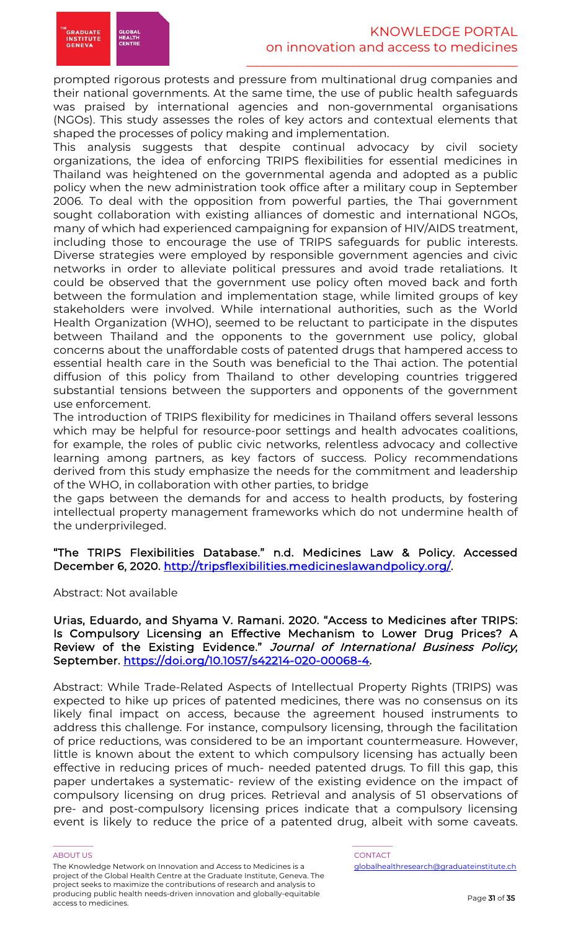

prompted rigorous protests and pressure from multinational drug companies and their national governments. At the same time, the use of public health safeguards was praised by international agencies and non-governmental organisations (NGOs). This study assesses the roles of key actors and contextual elements that shaped the processes of policy making and implementation.

This analysis suggests that despite continual advocacy by civil society organizations, the idea of enforcing TRIPS flexibilities for essential medicines in Thailand was heightened on the governmental agenda and adopted as a public policy when the new administration took office after a military coup in September 2006. To deal with the opposition from powerful parties, the Thai government sought collaboration with existing alliances of domestic and international NGOs, many of which had experienced campaigning for expansion of HIV/AIDS treatment, including those to encourage the use of TRIPS safeguards for public interests. Diverse strategies were employed by responsible government agencies and civic networks in order to alleviate political pressures and avoid trade retaliations. It could be observed that the government use policy often moved back and forth between the formulation and implementation stage, while limited groups of key stakeholders were involved. While international authorities, such as the World Health Organization (WHO), seemed to be reluctant to participate in the disputes between Thailand and the opponents to the government use policy, global concerns about the unaffordable costs of patented drugs that hampered access to essential health care in the South was beneficial to the Thai action. The potential diffusion of this policy from Thailand to other developing countries triggered substantial tensions between the supporters and opponents of the government use enforcement.

The introduction of TRIPS flexibility for medicines in Thailand offers several lessons which may be helpful for resource-poor settings and health advocates coalitions, for example, the roles of public civic networks, relentless advocacy and collective learning among partners, as key factors of success. Policy recommendations derived from this study emphasize the needs for the commitment and leadership of the WHO, in collaboration with other parties, to bridge

the gaps between the demands for and access to health products, by fostering intellectual property management frameworks which do not undermine health of the underprivileged.

"The TRIPS Flexibilities Database." n.d. Medicines Law & Policy. Accessed December 6, 2020. http://tripsflexibilities.medicineslawandpolicy.org/.

Abstract: Not available

Urias, Eduardo, and Shyama V. Ramani. 2020. "Access to Medicines after TRIPS: Is Compulsory Licensing an Effective Mechanism to Lower Drug Prices? A Review of the Existing Evidence." Journal of International Business Policy, September. https://doi.org/10.1057/s42214-020-00068-4.

Abstract: While Trade-Related Aspects of Intellectual Property Rights (TRIPS) was expected to hike up prices of patented medicines, there was no consensus on its likely final impact on access, because the agreement housed instruments to address this challenge. For instance, compulsory licensing, through the facilitation of price reductions, was considered to be an important countermeasure. However, little is known about the extent to which compulsory licensing has actually been effective in reducing prices of much- needed patented drugs. To fill this gap, this paper undertakes a systematic- review of the existing evidence on the impact of compulsory licensing on drug prices. Retrieval and analysis of 51 observations of pre- and post-compulsory licensing prices indicate that a compulsory licensing event is likely to reduce the price of a patented drug, albeit with some caveats.

#### ABOUT US AND LOCAL CONTACT AND LOCAL CONTACT AND LOCAL CONTACT AND LOCAL CONTACT.

The Knowledge Network on Innovation and Access to Medicines is a project of the Global Health Centre at the Graduate Institute, Geneva. The project seeks to maximize the contributions of research and analysis to producing public health needs-driven innovation and globally-equitable access to medicines.

\_\_\_\_\_\_\_\_\_\_\_ \_\_\_\_\_\_\_\_\_\_\_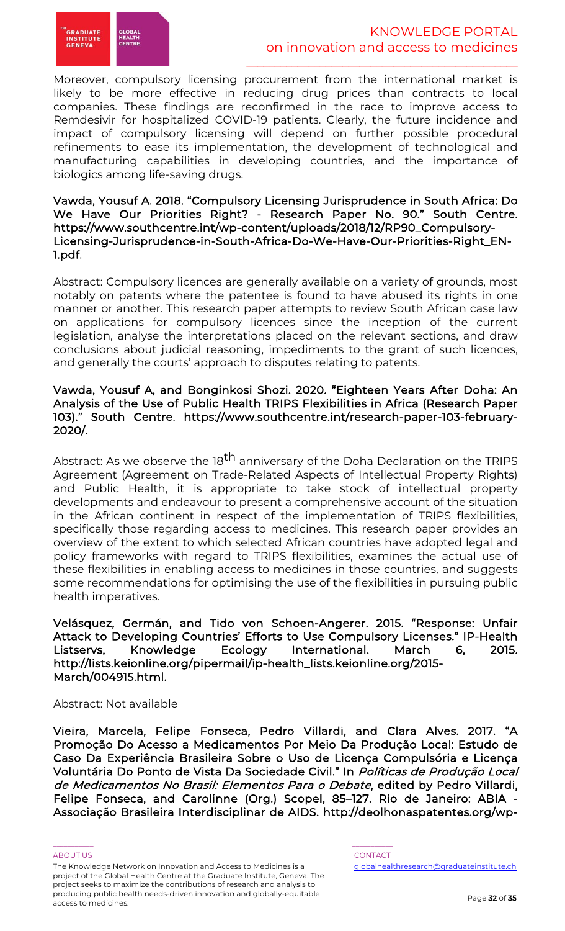

Moreover, compulsory licensing procurement from the international market is likely to be more effective in reducing drug prices than contracts to local companies. These findings are reconfirmed in the race to improve access to Remdesivir for hospitalized COVID-19 patients. Clearly, the future incidence and impact of compulsory licensing will depend on further possible procedural refinements to ease its implementation, the development of technological and manufacturing capabilities in developing countries, and the importance of biologics among life-saving drugs.

### Vawda, Yousuf A. 2018. "Compulsory Licensing Jurisprudence in South Africa: Do We Have Our Priorities Right? - Research Paper No. 90." South Centre. https://www.southcentre.int/wp-content/uploads/2018/12/RP90\_Compulsory-Licensing-Jurisprudence-in-South-Africa-Do-We-Have-Our-Priorities-Right\_EN-1.pdf.

Abstract: Compulsory licences are generally available on a variety of grounds, most notably on patents where the patentee is found to have abused its rights in one manner or another. This research paper attempts to review South African case law on applications for compulsory licences since the inception of the current legislation, analyse the interpretations placed on the relevant sections, and draw conclusions about judicial reasoning, impediments to the grant of such licences, and generally the courts' approach to disputes relating to patents.

## Vawda, Yousuf A, and Bonginkosi Shozi. 2020. "Eighteen Years After Doha: An Analysis of the Use of Public Health TRIPS Flexibilities in Africa (Research Paper 103)." South Centre. https://www.southcentre.int/research-paper-103-february-2020/.

Abstract: As we observe the 18<sup>th</sup> anniversary of the Doha Declaration on the TRIPS Agreement (Agreement on Trade-Related Aspects of Intellectual Property Rights) and Public Health, it is appropriate to take stock of intellectual property developments and endeavour to present a comprehensive account of the situation in the African continent in respect of the implementation of TRIPS flexibilities, specifically those regarding access to medicines. This research paper provides an overview of the extent to which selected African countries have adopted legal and policy frameworks with regard to TRIPS flexibilities, examines the actual use of these flexibilities in enabling access to medicines in those countries, and suggests some recommendations for optimising the use of the flexibilities in pursuing public health imperatives.

Velásquez, Germán, and Tido von Schoen-Angerer. 2015. "Response: Unfair Attack to Developing Countries' Efforts to Use Compulsory Licenses." IP-Health Listservs, Knowledge Ecology International. March 6, 2015. http://lists.keionline.org/pipermail/ip-health\_lists.keionline.org/2015- March/004915.html.

# Abstract: Not available

Vieira, Marcela, Felipe Fonseca, Pedro Villardi, and Clara Alves. 2017. "A Promoção Do Acesso a Medicamentos Por Meio Da Produção Local: Estudo de Caso Da Experiência Brasileira Sobre o Uso de Licença Compulsória e Licença Voluntária Do Ponto de Vista Da Sociedade Civil." In Políticas de Produção Local de Medicamentos No Brasil: Elementos Para o Debate, edited by Pedro Villardi, Felipe Fonseca, and Carolinne (Org.) Scopel, 85–127. Rio de Janeiro: ABIA - Associação Brasileira Interdisciplinar de AIDS. http://deolhonaspatentes.org/wp-

The Knowledge Network on Innovation and Access to Medicines is a project of the Global Health Centre at the Graduate Institute, Geneva. The project seeks to maximize the contributions of research and analysis to producing public health needs-driven innovation and globally-equitable access to medicines.

\_\_\_\_\_\_\_\_\_\_\_ \_\_\_\_\_\_\_\_\_\_\_

ABOUT US AND LOCAL CONTACT AND LOCAL CONTACT AND LOCAL CONTACT AND LOCAL CONTACT. globalhealthresearch@graduateinstitute.ch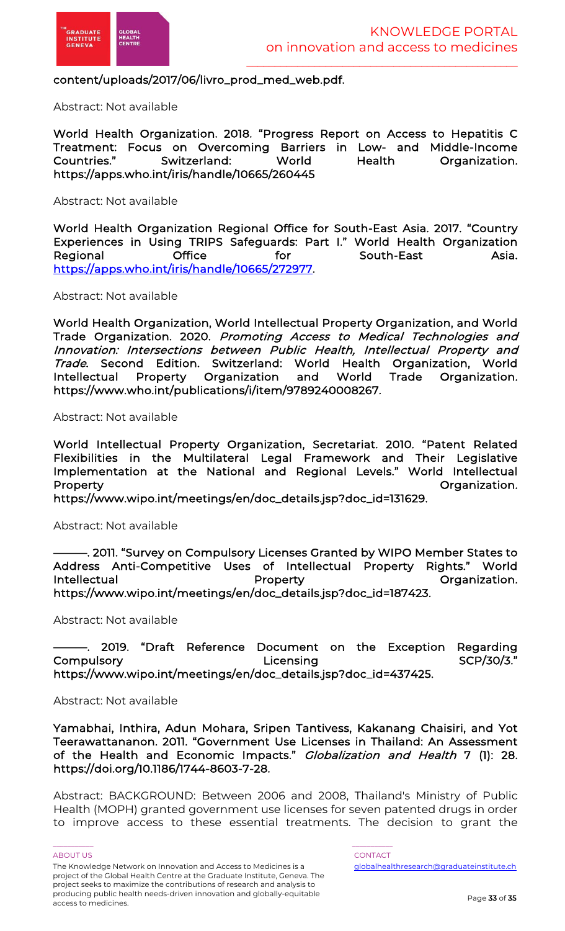

# content/uploads/2017/06/livro\_prod\_med\_web.pdf.

Abstract: Not available

World Health Organization. 2018. "Progress Report on Access to Hepatitis C Treatment: Focus on Overcoming Barriers in Low- and Middle-Income Switzerland: World Health Organization. https://apps.who.int/iris/handle/10665/260445

Abstract: Not available

World Health Organization Regional Office for South-East Asia. 2017. "Country Experiences in Using TRIPS Safeguards: Part I." World Health Organization Regional Office for South-East Asia. https://apps.who.int/iris/handle/10665/272977.

Abstract: Not available

World Health Organization, World Intellectual Property Organization, and World Trade Organization. 2020. Promoting Access to Medical Technologies and Innovation: Intersections between Public Health, Intellectual Property and Trade. Second Edition. Switzerland: World Health Organization, World Intellectual Property Organization and World Trade Organization. https://www.who.int/publications/i/item/9789240008267.

Abstract: Not available

World Intellectual Property Organization, Secretariat. 2010. "Patent Related Flexibilities in the Multilateral Legal Framework and Their Legislative Implementation at the National and Regional Levels." World Intellectual Property **Organization**.

https://www.wipo.int/meetings/en/doc\_details.jsp?doc\_id=131629.

Abstract: Not available

———. 2011. "Survey on Compulsory Licenses Granted by WIPO Member States to Address Anti-Competitive Uses of Intellectual Property Rights." World Intellectual **Property** Property **Construction** Property https://www.wipo.int/meetings/en/doc\_details.jsp?doc\_id=187423.

Abstract: Not available

2019. "Draft Reference Document on the Exception Regarding Compulsory Licensing SCP/30/3." https://www.wipo.int/meetings/en/doc\_details.jsp?doc\_id=437425.

Abstract: Not available

Yamabhai, Inthira, Adun Mohara, Sripen Tantivess, Kakanang Chaisiri, and Yot Teerawattananon. 2011. "Government Use Licenses in Thailand: An Assessment of the Health and Economic Impacts." *Globalization and Health* 7 (1): 28. https://doi.org/10.1186/1744-8603-7-28.

Abstract: BACKGROUND: Between 2006 and 2008, Thailand's Ministry of Public Health (MOPH) granted government use licenses for seven patented drugs in order to improve access to these essential treatments. The decision to grant the

\_\_\_\_\_\_\_\_\_\_\_ \_\_\_\_\_\_\_\_\_\_\_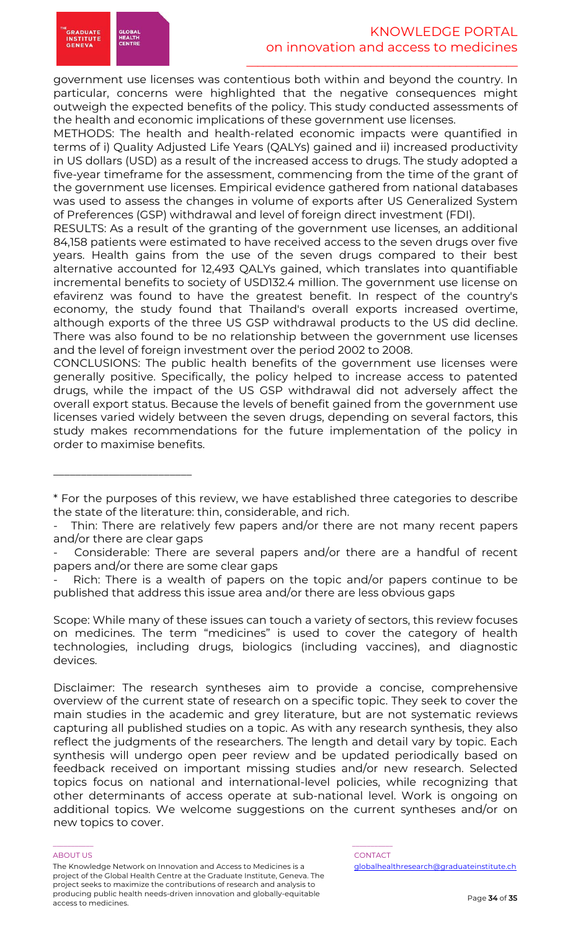

METHODS: The health and health-related economic impacts were quantified in terms of i) Quality Adjusted Life Years (QALYs) gained and ii) increased productivity in US dollars (USD) as a result of the increased access to drugs. The study adopted a five-year timeframe for the assessment, commencing from the time of the grant of the government use licenses. Empirical evidence gathered from national databases was used to assess the changes in volume of exports after US Generalized System of Preferences (GSP) withdrawal and level of foreign direct investment (FDI).

RESULTS: As a result of the granting of the government use licenses, an additional 84,158 patients were estimated to have received access to the seven drugs over five years. Health gains from the use of the seven drugs compared to their best alternative accounted for 12,493 QALYs gained, which translates into quantifiable incremental benefits to society of USD132.4 million. The government use license on efavirenz was found to have the greatest benefit. In respect of the country's economy, the study found that Thailand's overall exports increased overtime, although exports of the three US GSP withdrawal products to the US did decline. There was also found to be no relationship between the government use licenses and the level of foreign investment over the period 2002 to 2008.

CONCLUSIONS: The public health benefits of the government use licenses were generally positive. Specifically, the policy helped to increase access to patented drugs, while the impact of the US GSP withdrawal did not adversely affect the overall export status. Because the levels of benefit gained from the government use licenses varied widely between the seven drugs, depending on several factors, this study makes recommendations for the future implementation of the policy in order to maximise benefits.

Scope: While many of these issues can touch a variety of sectors, this review focuses on medicines. The term "medicines" is used to cover the category of health technologies, including drugs, biologics (including vaccines), and diagnostic devices.

Disclaimer: The research syntheses aim to provide a concise, comprehensive overview of the current state of research on a specific topic. They seek to cover the main studies in the academic and grey literature, but are not systematic reviews capturing all published studies on a topic. As with any research synthesis, they also reflect the judgments of the researchers. The length and detail vary by topic. Each synthesis will undergo open peer review and be updated periodically based on feedback received on important missing studies and/or new research. Selected topics focus on national and international-level policies, while recognizing that other determinants of access operate at sub-national level. Work is ongoing on additional topics. We welcome suggestions on the current syntheses and/or on new topics to cover.

#### ABOUT US AND LOCAL CONTACT AND LOCAL CONTACT AND LOCAL CONTACT AND LOCAL CONTACT.

\_\_\_\_\_\_\_\_\_\_\_\_\_\_\_\_\_\_\_\_\_\_\_\_\_

The Knowledge Network on Innovation and Access to Medicines is a project of the Global Health Centre at the Graduate Institute, Geneva. The project seeks to maximize the contributions of research and analysis to producing public health needs-driven innovation and globally-equitable access to medicines.

\_\_\_\_\_\_\_\_\_\_\_ \_\_\_\_\_\_\_\_\_\_\_

<sup>\*</sup> For the purposes of this review, we have established three categories to describe the state of the literature: thin, considerable, and rich.

Thin: There are relatively few papers and/or there are not many recent papers and/or there are clear gaps

Considerable: There are several papers and/or there are a handful of recent papers and/or there are some clear gaps

Rich: There is a wealth of papers on the topic and/or papers continue to be published that address this issue area and/or there are less obvious gaps